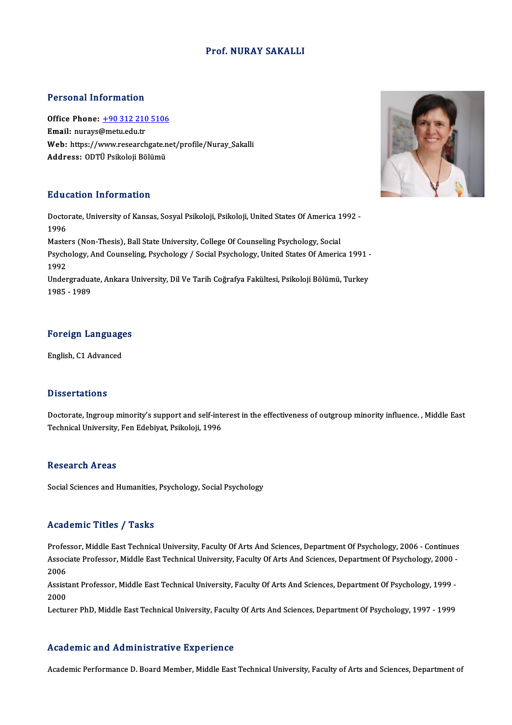#### Prof.NURAY SAKALLI

#### Personal Information

Personal Information<br>Office Phone: <u>+90 312 210 5106</u><br>Email: nuraw@matu.edu.tr Fersonar micromation<br>Office Phone: <u>+90 312 210</u><br>Email: nurays@metu.edu.tr Office Phone: <u>+90 312 210 5106</u><br>Email: nurays@metu.edu.tr<br>Web: https://[www.researchgate.n](tel:+90 312 210 5106)et/profile/Nuray\_Sakalli<br>Address: ODTÜ Psikalaji Pälümü **Email:** nurays@metu.edu.tr<br>Web: https://www.researchgate.n<br>Address: ODTÜ Psikoloji Bölümü Address: ODTÜ Psikoloji Bölümü<br>Education Information

Education Information<br>Doctorate, University of Kansas, Sosyal Psikoloji, Psikoloji, United States Of America 1992 -<br>1996 Huut<br>Docto<br>1996<br>Masta Doctorate, University of Kansas, Sosyal Psikoloji, Psikoloji, United States Of America 1<br>1996<br>Masters (Non-Thesis), Ball State University, College Of Counseling Psychology, Social<br>Psychology, And Counseling, Baychology, / 1996<br>Masters (Non-Thesis), Ball State University, College Of Counseling Psychology, Social<br>Psychology, And Counseling, Psychology / Social Psychology, United States Of America 1991 -<br>1992 Masters (Non-Thesis), Ball State University, College Of Counseling Psychology, Social Psychology, And Counseling, Psychology / Social Psychology, United States Of America 1991 -<br>1992<br>Undergraduate, Ankara University, Dil Ve Tarih Coğrafya Fakültesi, Psikoloji Bölümü, Turkey<br>1995 - 1999 1992<br>Undergradua<br>1985 - 1989

## Foreign Languages <mark>Foreign Language</mark><br>English, C1 Advanced

English, C1 Advanced<br>Dissertations

Doctorate, Ingroup minority's support and self-interest in the effectiveness of outgroup minority influence., Middle East Technical University, Fen Edebiyat, Psikoloji, 1996

#### **Research Areas**

Social Sciences and Humanities, Psychology, Social Psychology

#### Academic Titles / Tasks

Professor, Middle East Technical University, Faculty Of Arts And Sciences, Department Of Psychology, 2006 - Continues AssociateMice Profes / Profes<br>Professor, Middle East Technical University, Faculty Of Arts And Sciences, Department Of Psychology, 2006 - Continues<br>Associate Professor, Middle East Technical University, Faculty Of Arts And Profes<br>Assoc<br>2006<br>Assist Associate Professor, Middle East Technical University, Faculty Of Arts And Sciences, Department Of Psychology, 2000 -<br>2006<br>Assistant Professor, Middle East Technical University, Faculty Of Arts And Sciences, Department Of

2006<br>Assistant Professor, Middle East Technical University, Faculty Of Arts And Sciences, Department Of Psychology, 1999 -<br>2000

Lecturer PhD, Middle East Technical University, Faculty Of Arts And Sciences, Department Of Psychology, 1997 - 1999

#### Academic and Administrative Experience

Academic Performance D. Board Member, Middle East Technical University, Faculty of Arts and Sciences, Department of

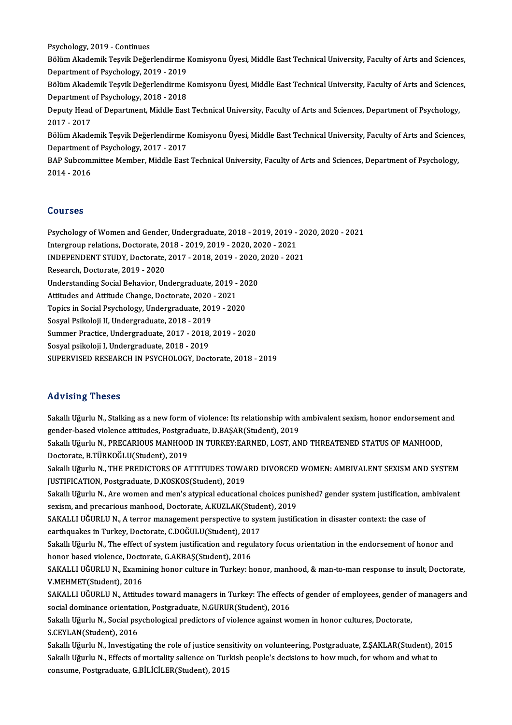Psychology,2019 -Continues

Psychology, 2019 - Continues<br>Bölüm Akademik Teşvik Değerlendirme Komisyonu Üyesi, Middle East Technical University, Faculty of Arts and Sciences,<br>Penartment of Psychology, 2010, 2019 Psychology, 2019 - Continues<br>Bölüm Akademik Teşvik Değerlendirme I<br>Department of Psychology, 2019 - 2019<br>Bölüm Akademik Tesvik Değerlendirme I Bölüm Akademik Teşvik Değerlendirme Komisyonu Üyesi, Middle East Technical University, Faculty of Arts and Sciences,<br>Department of Psychology, 2019 - 2019<br>Bölüm Akademik Teşvik Değerlendirme Komisyonu Üyesi, Middle East Te

Department of Psychology, 2019 - 2019<br>Bölüm Akademik Teşvik Değerlendirme I<br>Department of Psychology, 2018 - 2018<br>Deputy Head of Department Middle Fast Bölüm Akademik Teşvik Değerlendirme Komisyonu Üyesi, Middle East Technical University, Faculty of Arts and Science<br>Department of Psychology, 2018 - 2018<br>Deputy Head of Department, Middle East Technical University, Faculty

Department of Psychology, 2018 - 2018<br>Deputy Head of Department, Middle Eas<br>2017 - 2017 Beputy Head of Department, Middle East Technical University, Faculty of Arts and Sciences, Department of Psychology,<br>2017 - 2017<br>Bölüm Akademik Teşvik Değerlendirme Komisyonu Üyesi, Middle East Technical University, Facult

Bölüm Akademik Teşvik Değerlendirme Komisyonu Üyesi, Middle East Technical University, Faculty of Arts and Sciences, Bölüm Akademik Teşvik Değerlendirme Komisyonu Üyesi, Middle East Technical University, Faculty of Arts and Science<br>Department of Psychology, 2017 - 2017<br>BAP Subcommittee Member, Middle East Technical University, Faculty of

Department (<br>BAP Subcomi<br>2014 - 2016 2014 - 2016<br>Courses

Courses<br>Psychology of Women and Gender, Undergraduate, 2018 - 2019, 2019 - 2020, 2020 - 2021<br>Intergravy relations Desterate, 2018, 2019, 2019, 2020, 2020, 2021 -<br>1999) Psychology of Women and Gender, Undergraduate, 2018 - 2019, 2019<br>Intergroup relations, Doctorate, 2018 - 2019, 2019 - 2020, 2020 - 2021<br>INDERENDENT STUDY, Doctorate, 2017 - 2019, 2019, 2020, 2020, 202 Psychology of Women and Gender, Undergraduate, 2018 - 2019, 2019 - 20<br>Intergroup relations, Doctorate, 2018 - 2019, 2019 - 2020, 2020 - 2021<br>INDEPENDENT STUDY, Doctorate, 2017 - 2018, 2019 - 2020, 2020 - 2021<br>Pessarsh Dost

Intergroup relations, Doctorate, 2018 - 2019, 2019 - 2020, 2020 - 2021<br>INDEPENDENT STUDY, Doctorate, 2017 - 2018, 2019 - 2020, 2020 - 202<br>Research, Doctorate, 2019 - 2020 INDEPENDENT STUDY, Doctorate, 2017 - 2018, 2019 - 2020, 2020 - 2021

Research, Doctorate, 2019 - 2020<br>Understanding Social Behavior, Undergraduate, 2019 -<br>Attitudes and Attitude Change, Doctorate, 2020 - 2021<br>Tonics in Social Beychology, Undergraduate, 2019 - 202 Attitudes and Attitude Change, Doctorate, 2020 - 2021<br>Topics in Social Psychology, Undergraduate, 2019 - 2020

Understanding Social Behavior, Undergraduate, 2019 - 20<br>Attitudes and Attitude Change, Doctorate, 2020 - 2021<br>Topics in Social Psychology, Undergraduate, 2019 - 2020<br>Sosyal Psikoloji II, Undergraduate, 2019 - 2019

Sosyal Psikoloji II, Undergraduate, 2018 - 2019

Summer Practice, Undergraduate, 2017 - 2018, 2019 - 2020<br>Sosyal psikoloji I. Undergraduate, 2018 - 2019

SUPERVISED RESEARCH IN PSYCHOLOGY, Doctorate, 2018 - 2019

#### Advising Theses

Advising Theses<br>Sakallı Uğurlu N., Stalking as a new form of violence: Its relationship with ambivalent sexism, honor endorsement and<br>sender hesed violence ettivides. Pestaveduate, D.BASAR(Student), 2010. raa violog i neoee<br>Sakallı Uğurlu N., Stalking as a new form of violence: Its relationship with<br>gender-based violence attitudes, Postgraduate, D.BAŞAR(Student), 2019<br>Sakallı Uğurlu N., BBECARIOUS MANHOOD IN TURKEY EARNED, Sakallı Uğurlu N., Stalking as a new form of violence: Its relationship with ambivalent sexism, honor endorsement a<br>gender-based violence attitudes, Postgraduate, D.BAŞAR(Student), 2019<br>Sakallı Uğurlu N., PRECARIOUS MANHOO gender-based violence attitudes, Postgrad<br>Sakallı Uğurlu N., PRECARIOUS MANHOOI<br>Doctorate, B.TÜRKOĞLU(Student), 2019<br>Sakallı Uğurlu N., THE PREDICTORS OF A. Sakallı Uğurlu N., PRECARIOUS MANHOOD IN TURKEY:EARNED, LOST, AND THREATENED STATUS OF MANHOOD,<br>Doctorate, B.TÜRKOĞLU(Student), 2019<br>Sakallı Uğurlu N., THE PREDICTORS OF ATTITUDES TOWARD DIVORCED WOMEN: AMBIVALENT SEXISM A Doctorate, B.TÜRKOĞLU(Student), 2019<br>Sakallı Uğurlu N., THE PREDICTORS OF ATTITUDES TOWARD DIVORCED WOMEN: AMBIVALENT SEXISM AND SYSTEM<br>JUSTIFICATION, Postgraduate, D.KOSKOS(Student), 2019 Sakallı Uğurlu N., THE PREDICTORS OF ATTITUDES TOWARD DIVORCED WOMEN: AMBIVALENT SEXISM AND SYSTEM<br>JUSTIFICATION, Postgraduate, D.KOSKOS(Student), 2019<br>Sakallı Uğurlu N., Are women and men's atypical educational choices pu JUSTIFICATION, Postgraduate, D.KOSKOS(Student), 2019<br>Sakallı Uğurlu N., Are women and men's atypical educational choices pur<br>sexism, and precarious manhood, Doctorate, A.KUZLAK(Student), 2019<br>SAKALLUIĞURLU N. A terrer mana Sakallı Uğurlu N., Are women and men's atypical educational choices punished? gender system justification, ai<br>sexism, and precarious manhood, Doctorate, A.KUZLAK(Student), 2019<br>SAKALLI UĞURLU N., A terror management perspe sexism, and precarious manhood, Doctorate, A.KUZLAK(Stude<br>SAKALLI UĞURLU N., A terror management perspective to sys<br>earthquakes in Turkey, Doctorate, C.DOĞULU(Student), 2017<br>Sekallı Uğurlu N., The effect of system justific SAKALLI UĞURLU N., A terror management perspective to system justification in disaster context: the case of earthquakes in Turkey, Doctorate, C.DOĞULU(Student), 2017<br>Sakallı Uğurlu N., The effect of system justification an earthquakes in Turkey, Doctorate, C.DOĞULU(Student), 2016<br>Sakallı Uğurlu N., The effect of system justification and regu<br>honor based violence, Doctorate, G.AKBAŞ(Student), 2016<br>SAKALLUĞURLU N., Evemining bonor gulture in T Sakallı Uğurlu N., The effect of system justification and regulatory focus orientation in the endorsement of honor and<br>honor based violence, Doctorate, G.AKBAŞ(Student), 2016<br>SAKALLI UĞURLU N., Examining honor culture in T honor based violence, Docto<br>SAKALLI UĞURLU N., Exami<br>V.MEHMET(Student), 2016<br>SAKALLI UĞUPLU N. Attino SAKALLI UĞURLU N., Examining honor culture in Turkey: honor, manhood, & man-to-man response to insult, Doctorate,<br>V.MEHMET(Student), 2016<br>SAKALLI UĞURLU N., Attitudes toward managers in Turkey: The effects of gender of emp V.MEHMET(Student), 2016<br>SAKALLI UĞURLU N., Attitudes toward managers in Turkey: The effects<br>social dominance orientation, Postgraduate, N.GURUR(Student), 2016<br>Selrall: Uğurlu N., Social pavebological prodictors of violones SAKALLI UĞURLU N., Attitudes toward managers in Turkey: The effects of gender of employees, gender of managers and<br>social dominance orientation, Postgraduate, N.GURUR(Student), 2016<br>Sakallı Uğurlu N., Social psychological social dominance orientati<br>Sakallı Uğurlu N., Social psy<br>S.CEYLAN(Student), 2016<br>Sakallı Uğurlu N. Investisa Sakallı Uğurlu N., Social psychological predictors of violence against women in honor cultures, Doctorate,<br>S.CEYLAN(Student), 2016<br>Sakallı Uğurlu N., Investigating the role of justice sensitivity on volunteering, Postgradu S.CEYLAN(Student), 2016<br>Sakallı Uğurlu N., Investigating the role of justice sensitivity on volunteering, Postgraduate, Z.ŞAKLAR(Student), 2<br>Sakallı Uğurlu N., Effects of mortality salience on Turkish people's decisions to Sakallı Uğurlu N., Investigating the role of justice sen:<br>Sakallı Uğurlu N., Effects of mortality salience on Tur<br>consume, Postgraduate, G.BİLİCİLER(Student), 2015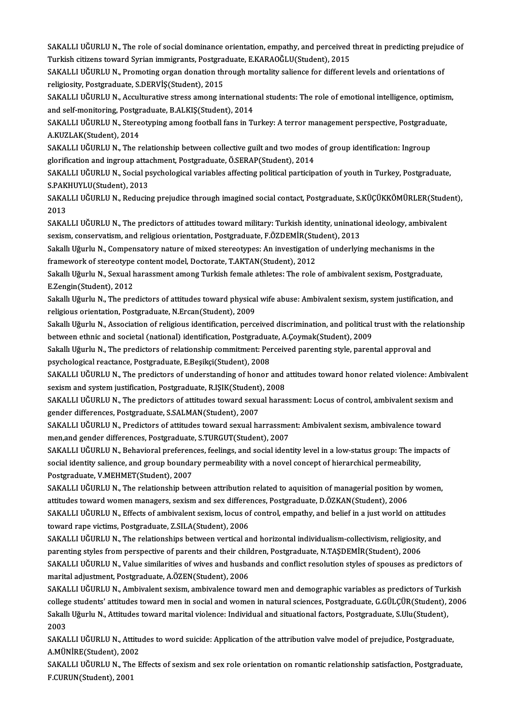SAKALLI UĞURLU N., The role of social dominance orientation, empathy, and perceived threat in predicting prejudice of<br>Turkish sitisens tounud Syrian immismanta Bestanaduate, E KARAQĞI USStudent), 2015 SAKALLI UĞURLU N., The role of social dominance orientation, empathy, and perceived<br>Turkish citizens toward Syrian immigrants, Postgraduate, E.KARAOĞLU(Student), 2015<br>SAKALLUJĞURLU N., Premeting exten denstien through mert SAKALLI UĞURLU N., The role of social dominance orientation, empathy, and perceived threat in predicting prejud<br>Turkish citizens toward Syrian immigrants, Postgraduate, E.KARAOĞLU(Student), 2015<br>SAKALLI UĞURLU N., Promotin

Turkish citizens toward Syrian immigrants, Postgraduate, E.KARAOĞLU(Student), 2015<br>SAKALLI UĞURLU N., Promoting organ donation through mortality salience for different levels and orientations of<br>religiosity, Postgraduate, SAKALLI UĞURLU N., Promoting organ donation through mortality salience for different levels and orientations of<br>religiosity, Postgraduate, S.DERVİŞ(Student), 2015<br>SAKALLI UĞURLU N., Acculturative stress among international

religiosity, Postgraduate, S.DERVİŞ(Student), 2015<br>SAKALLI UĞURLU N., Acculturative stress among internation<br>and self-monitoring, Postgraduate, B.ALKIŞ(Student), 2014<br>SAKALLUIĞUPLU N. Starestyning among fostball fans in Tr SAKALLI UĞURLU N., Acculturative stress among international students: The role of emotional intelligence, optimisr<br>and self-monitoring, Postgraduate, B.ALKIŞ(Student), 2014<br>SAKALLI UĞURLU N., Stereotyping among football fa

and self-monitoring, Postgr<br>SAKALLI UĞURLU N., Stere<br>A.KUZLAK(Student), 2014<br>SAKALLLUĞUPLU N., The r SAKALLI UĞURLU N., Stereotyping among football fans in Turkey: A terror management perspective, Postgradu<br>A.KUZLAK(Student), 2014<br>SAKALLI UĞURLU N., The relationship between collective guilt and two modes of group identifi

A.KUZLAK(Student), 2014<br>SAKALLI UĞURLU N., The relationship between collective guilt and two modes<br>glorification and ingroup attachment, Postgraduate, Ö.SERAP(Student), 2014<br>SAKALLUĞURLU N. Sosial psychologisal variables a SAKALLI UĞURLU N., The relationship between collective guilt and two modes of group identification: Ingroup<br>glorification and ingroup attachment, Postgraduate, Ö.SERAP(Student), 2014<br>SAKALLI UĞURLU N., Social psychological

glorification and ingroup atta<br>SAKALLI UĞURLU N., Social p:<br>S.PAKHUYLU(Student), 2013<br>SAKALLI UĞUPLU N., Bodya'n SAKALLI UĞURLU N., Social psychological variables affecting political participation of youth in Turkey, Postgraduate,<br>S.PAKHUYLU(Student), 2013<br>SAKALLI UĞURLU N., Reducing prejudice through imagined social contact, Postgra

S.PAK<br>SAKAI<br>2013<br>SAKAI SAKALLI UĞURLU N., Reducing prejudice through imagined social contact, Postgraduate, S.KÜÇÜKKÖMÜRLER(Stude<br>2013<br>SAKALLI UĞURLU N., The predictors of attitudes toward military: Turkish identity, uninational ideology, ambiva

2013<br>SAKALLI UĞURLU N., The predictors of attitudes toward military: Turkish identity, uninatio<br>sexism, conservatism, and religious orientation, Postgraduate, F.ÖZDEMİR(Student), 2013<br>Sekall: Uğurlu N. Compensateru nature SAKALLI UĞURLU N., The predictors of attitudes toward military: Turkish identity, uninational ideology, ambivale<br>sexism, conservatism, and religious orientation, Postgraduate, F.ÖZDEMİR(Student), 2013<br>Sakallı Uğurlu N., Co

sexism, conservatism, and religious orientation, Postgraduate, F.ÖZDEMİR(Student), 2013<br>Sakallı Uğurlu N., Compensatory nature of mixed stereotypes: An investigation of underlying mechanisms in the<br>framework of stereotype Sakallı Uğurlu N., Compensatory nature of mixed stereotypes: An investigation of underlying mechanisms in the<br>framework of stereotype content model, Doctorate, T.AKTAN(Student), 2012<br>Sakallı Uğurlu N., Sexual harassment am

framework of stereotype<br>Sakallı Uğurlu N., Sexual I<br>E.Zengin(Student), 2012<br>Sakallı Uğurlu N., The pre Sakallı Uğurlu N., Sexual harassment among Turkish female athletes: The role of ambivalent sexism, Postgraduate,<br>E.Zengin(Student), 2012<br>Sakallı Uğurlu N., The predictors of attitudes toward physical wife abuse: Ambivalent

E.Zengin(Student), 2012<br>Sakallı Uğurlu N., The predictors of attitudes toward physical wife abuse: Ambivalent sexism, system justification, and<br>religious orientation, Postgraduate, N.Ercan(Student), 2009 Sakallı Uğurlu N., The predictors of attitudes toward physical wife abuse: Ambivalent sexism, system justification, and<br>religious orientation, Postgraduate, N.Ercan(Student), 2009<br>Sakallı Uğurlu N., Association of religiou

religious orientation, Postgraduate, N.Ercan(Student), 2009<br>Sakallı Uğurlu N., Association of religious identification, perceived discrimination, and political<br>between ethnic and societal (national) identification, Postgra Sakallı Uğurlu N., Association of religious identification, perceived discrimination, and political trust with the relationship commitment: Perceived parenting style, parental approval and societal (national) identificatio

between ethnic and societal (national) identification, Postgraduate, A.Çoymak(Student), 2009<br>Sakallı Uğurlu N., The predictors of relationship commitment: Perceived parenting style, parental approval and<br>psychological reac

SAKALLI UĞURLU N., The predictors of understanding of honor and attitudes toward honor related violence: Ambivalent sexism and system justification, Postgraduate, R.IŞIK(Student), 2008 SAKALLI UĞURLU N., The predictors of understanding of honor and attitudes toward honor related violence: Ambival<br>sexism and system justification, Postgraduate, R.IŞIK(Student), 2008<br>SAKALLI UĞURLU N., The predictors of att

gender differences, Postgraduate, S.SALMAN(Student), 2007<br>SAKALLI UĞURLU N., Predictors of attitudes toward sexual harrassment: Ambivalent sexism, ambivalence toward SAKALLI UĞURLU N., The predictors of attitudes toward sexual harassment: Locus of control, ambivalent sexism a<br>gender differences, Postgraduate, S.SALMAN(Student), 2007<br>SAKALLI UĞURLU N., Predictors of attitudes toward sex

men,and gender differences, Postgraduate, S.TURGUT(Student), 2007 SAKALLI UĞURLU N., Predictors of attitudes toward sexual harrassment: Ambivalent sexism, ambivalence toward<br>men,and gender differences, Postgraduate, S.TURGUT(Student), 2007<br>SAKALLI UĞURLU N., Behavioral preferences, feeli

men,and gender differences, Postgraduate, S.TURGUT(Student), 2007<br>SAKALLI UĞURLU N., Behavioral preferences, feelings, and social identity level in a low-status group: The im<br>social identity salience, and group boundary pe SAKALLI UĞURLU N., Behavioral preferenc<br>social identity salience, and group bounda:<br>Postgraduate, V.MEHMET(Student), 2007<br>SAKALLULÖUPLU N. The relationship bett social identity salience, and group boundary permeability with a novel concept of hierarchical permeability,<br>Postgraduate, V.MEHMET(Student), 2007<br>SAKALLI UĞURLU N., The relationship between attribution related to aquisiti

Postgraduate, V.MEHMET(Student), 2007<br>SAKALLI UĞURLU N., The relationship between attribution related to aquisition of managerial position b<br>attitudes toward women managers, sexism and sex differences, Postgraduate, D.ÖZKA SAKALLI UĞURLU N., The relationship between attribution related to aquisition of managerial position by women,<br>attitudes toward women managers, sexism and sex differences, Postgraduate, D.ÖZKAN(Student), 2006<br>SAKALLI UĞURL attitudes toward women managers, sexism and sex differe:<br>SAKALLI UĞURLU N., Effects of ambivalent sexism, locus of<br>toward rape victims, Postgraduate, Z.SILA(Student), 2006<br>SAKALLI UĞUPLU N., The rektionships between vertis

SAKALLI UĞURLU N., Effects of ambivalent sexism, locus of control, empathy, and belief in a just world on attitudes<br>toward rape victims, Postgraduate, Z.SILA(Student), 2006<br>SAKALLI UĞURLU N., The relationships between vert toward rape victims, Postgraduate, Z.SILA(Student), 2006<br>SAKALLI UĞURLU N., The relationships between vertical and horizontal individualism-collectivism, religiosity<br>parenting styles from perspective of parents and their c SAKALLI UĞURLU N., The relationships between vertical and horizontal individualism-collectivism, religiosity, and<br>parenting styles from perspective of parents and their children, Postgraduate, N.TAŞDEMİR(Student), 2006<br>SAK parenting styles from perspective of parents and their chilostaladius.<br>SAKALLI UĞURLU N., Value similarities of wives and husba<br>marital adjustment, Postgraduate, A.ÖZEN(Student), 2006<br>SAKALLI UĞUPLU N. Ambiyalant sevism, a

SAKALLI UĞURLU N., Value similarities of wives and husbands and conflict resolution styles of spouses as predictors of<br>marital adjustment, Postgraduate, A.ÖZEN(Student), 2006<br>SAKALLI UĞURLU N., Ambivalent sexism, ambivalen marital adjustment, Postgraduate, A.ÖZEN(Student), 2006<br>SAKALLI UĞURLU N., Ambivalent sexism, ambivalence toward men and demographic variables as predictors of Turkish<br>college students' attitudes toward men in social and w SAKALLI UĞURLU N., Ambivalent sexism, ambivalence toward men and demographic variables as predictors of Turl<br>college students' attitudes toward men in social and women in natural sciences, Postgraduate, G.GÜLÇÜR(Student),<br> colleg<br>Sakall<br>2003<br>SAMA Sakallı Uğurlu N., Attitudes toward marital violence: Individual and situational factors, Postgraduate, S.Ulu(Student),<br>2003<br>SAKALLI UĞURLU N., Attitudes to word suicide: Application of the attribution valve model of preju

2003<br>SAKALLI UĞURLU N., Attitu<br>A.MÜNİRE(Student), 2002<br>SAKALLLUĞUPLU N., The E SAKALLI UĞURLU N., Attitudes to word suicide: Application of the attribution valve model of prejudice, Postgraduate,<br>A.MÜNİRE(Student), 2002<br>SAKALLI UĞURLU N., The Effects of sexism and sex role orientation on romantic rel

A.MÜNİRE(Student), 200<br>SAKALLI UĞURLU N., The<br>F.CURUN(Student), 2001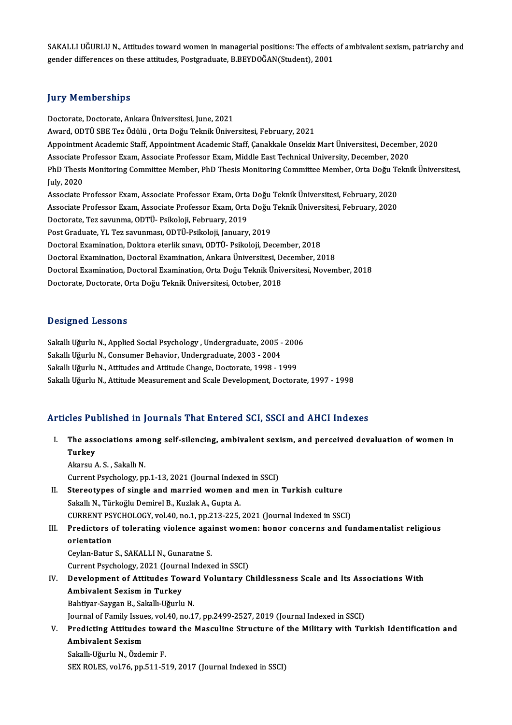SAKALLI UĞURLUN, Attitudes toward women in managerial positions: The effects of ambivalent sexism, patriarchy and gender differences on these attitudes, Postgraduate, B.BEYDOĞAN(Student), 2001

#### **Jury Memberships**

Doctorate,Doctorate,AnkaraÜniversitesi, June,2021 Award, ODTÜ SBE Tez Ödülü , Orta Doğu Teknik Üniversitesi, February, 2021 Doctorate, Doctorate, Ankara Üniversitesi, June, 2021<br>Award, ODTÜ SBE Tez Ödülü , Orta Doğu Teknik Üniversitesi, February, 2021<br>Appointment Academic Staff, Appointment Academic Staff, Çanakkale Onsekiz Mart Üniversitesi, D Award, ODTÜ SBE Tez Ödülü , Orta Doğu Teknik Üniversitesi, February, 2021<br>Appointment Academic Staff, Appointment Academic Staff, Çanakkale Onsekiz Mart Üniversitesi, Decembe<br>Associate Professor Exam, Associate Professor E Appointment Academic Staff, Appointment Academic Staff, Çanakkale Onsekiz Mart Üniversitesi, December, 2020<br>Associate Professor Exam, Associate Professor Exam, Middle East Technical University, December, 2020<br>PhD Thesis Mo Associate F<br>PhD Thesis<br>July, 2020<br>Associate F PhD Thesis Monitoring Committee Member, PhD Thesis Monitoring Committee Member, Orta Doğu Te<br>July, 2020<br>Associate Professor Exam, Associate Professor Exam, Orta Doğu Teknik Üniversitesi, February, 2020<br>Associate Professor July, 2020<br>Associate Professor Exam, Associate Professor Exam, Orta Doğu Teknik Üniversitesi, February, 2020<br>Associate Professor Exam, Associate Professor Exam, Orta Doğu Teknik Üniversitesi, February, 2020<br>Desterate Tes s Associate Professor Exam, Associate Professor Exam, Orta<br>Associate Professor Exam, Associate Professor Exam, Orta<br>Doctorate, Tez savunma, ODTÜ- Psikoloji, February, 2019<br>Post Craduate, VI, Tez savunması, ODTÜ- Bsikoloji, J Associate Professor Exam, Associate Professor Exam, Orta Doğu Teknik Üniversitesi, February, 2020<br>Doctorate, Tez savunma, ODTÜ- Psikoloji, February, 2019<br>Post Graduate, YL Tez savunması, ODTÜ-Psikoloji, January, 2019 Doctorate, Tez savunma, ODTÜ- Psikoloji, February, 2019<br>Post Graduate, YL Tez savunması, ODTÜ-Psikoloji, January, 2019<br>Doctoral Examination, Doktora eterlik sınavı, ODTÜ- Psikoloji, December, 2018<br>Doctoral Examination, Doc Post Graduate, YL Tez savunması, ODTÜ-Psikoloji, January, 2019<br>Doctoral Examination, Doktora eterlik sınavı, ODTÜ- Psikoloji, December, 2018<br>Doctoral Examination, Doctoral Examination, Ankara Üniversitesi, December, 2018<br>D Doctoral Examination, Doktora eterlik sınavı, ODTÜ- Psikoloji, December, 2018<br>Doctoral Examination, Doctoral Examination, Ankara Üniversitesi, December, 2018<br>Doctoral Examination, Doctoral Examination, Orta Doğu Teknik Üni Doctoral Examination, Doctoral Examination, Ankara Üniversitesi, December, 2018<br>Doctoral Examination, Doctoral Examination, Orta Doğu Teknik Üniversitesi, November, 2018<br>Doctorate, Doctorate, Orta Doğu Teknik Üniversitesi,

#### Designed Lessons

Designed Lessons<br>Sakallı Uğurlu N., Applied Social Psychology , Undergraduate, 2005 - 2006<br>Sakallı Uğurlu N. Gonsumer Behaviar, Undergraduate, 2002, ...2004 Sakallı Uğurlu N., Applied Social Psychology , Undergraduate, 2005 -<br>Sakallı Uğurlu N., Consumer Behavior, Undergraduate, 2003 - 2004<br>Sakallı Uğurlu N., Attitudes and Attitude Change, Dostanate, 1998, 1 Sakallı Uğurlu N., Applied Social Psychology , Undergraduate, 2005 - 200<br>Sakallı Uğurlu N., Consumer Behavior, Undergraduate, 2003 - 2004<br>Sakallı Uğurlu N., Attitudes and Attitude Change, Doctorate, 1998 - 1999<br>Sakallı Uğu Sakallı Uğurlu N., Consumer Behavior, Undergraduate, 2003 - 2004<br>Sakallı Uğurlu N., Attitudes and Attitude Change, Doctorate, 1998 - 1999<br>Sakallı Uğurlu N., Attitude Measurement and Scale Development, Doctorate, 1997 - 199

## Articles Published in Journals That Entered SCI, SSCI and AHCI Indexes

rticles Published in Journals That Entered SCI, SSCI and AHCI Indexes<br>I. The associations among self-silencing, ambivalent sexism, and perceived devaluation of women in<br>Turkey The ass<br>The ass<br>Turkey Turkey<br>Akarsu A.S., Sakallı N.

Current Psychology, pp.1-13, 2021 (Journal Indexed in SSCI)

- II. Stereotypes of single and married women and men in Turkish culture Sakallı N., Türkoğlu Demirel B., Kuzlak A., Gupta A. Stereotypes of single and married women and men in Turkish culture<br>Sakallı N., Türkoğlu Demirel B., Kuzlak A., Gupta A.<br>CURRENT PSYCHOLOGY, vol.40, no.1, pp.213-225, 2021 (Journal Indexed in SSCI)<br>Predistors of telerating
- Sakallı N., Türkoğlu Demirel B., Kuzlak A., Gupta A.<br>CURRENT PSYCHOLOGY, vol.40, no.1, pp.213-225, 2021 (Journal Indexed in SSCI)<br>III. Predictors of tolerating violence against women: honor concerns and fundamentalist reli CURRENT PS<br>Predictors<br>orientation<br>Cevlan Batur Predictors of tolerating violence aga:<br>orientation<br>Ceylan-Batur S., SAKALLI N., Gunaratne S.<br>Current Peychology, 2021 (Journal Indov

orientation<br>Ceylan-Batur S., SAKALLI N., Gunaratne S.<br>Current Psychology, 2021 (Journal Indexed in SSCI)

- Ceylan-Batur S., SAKALLI N., Gunaratne S.<br>Current Psychology, 2021 (Journal Indexed in SSCI)<br>IV. Development of Attitudes Toward Voluntary Childlessness Scale and Its Associations With<br>Ambivelant Saviam in Turkay Current Psychology, 2021 (Journa<br>Development of Attitudes Tov<br>Ambivalent Sexism in Turkey<br>Pehtivar Savgan B. Sakallı Uğurlu Development of Attitudes Towar<br>Ambivalent Sexism in Turkey<br>Bahtiyar-Saygan B., Sakallı-Uğurlu N.<br>Journal of Fomily Jouses val 40 no 1 Ambivalent Sexism in Turkey<br>Bahtiyar-Saygan B., Sakallı-Uğurlu N.<br>Journal of Family Issues, vol.40, no.17, pp.2499-2527, 2019 (Journal Indexed in SSCI)<br>Predisting Attitudes teward the Massuline Structure of the Military wi Bahtiyar-Saygan B., Sakallı-Uğurlu N.<br>Journal of Family Issues, vol.40, no.17, pp.2499-2527, 2019 (Journal Indexed in SSCI)<br>V. Predicting Attitudes toward the Masculine Structure of the Military with Turkish Identifica
- Journal of Family Issue<br><mark>Predicting Attitudes</mark><br>Ambivalent Sexism<br>Sekally Uğurlu N. Özde **Predicting Attitudes towa<br>Ambivalent Sexism<br>Sakallı-Uğurlu N., Özdemir F.<br>SEV BOLES vol 76 nn 511 53** Ambivalent Sexism<br>Sakallı-Uğurlu N., Özdemir F.<br>SEX ROLES, vol.76, pp.511-519, 2017 (Journal Indexed in SSCI)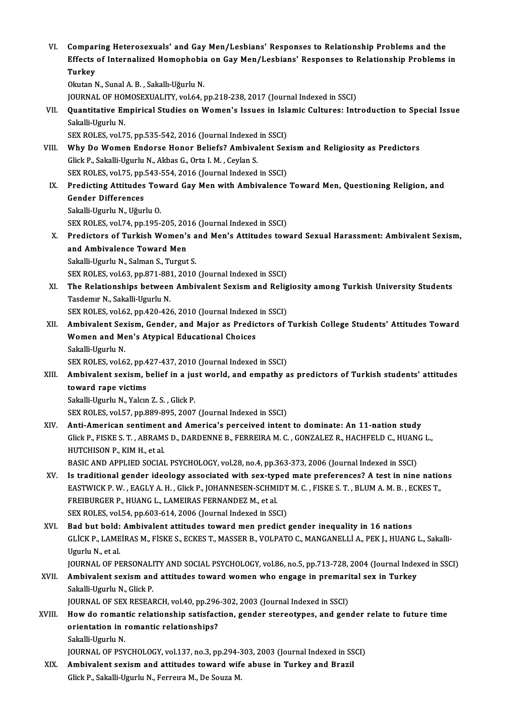VI.<br>VI. Comparing Heterosexuals' and Gay Men/Lesbians' Responses to Relationship Problems and the<br>F<sup>er</sup>ects of Internalized Hemonbobia on Cay Man/Lesbians' Beanonses to Belationship Problems Comparing Heterosexuals' and Gay Men/Lesbians' Responses to Relationship Problems and the<br>Effects of Internalized Homophobia on Gay Men/Lesbians' Responses to Relationship Problems in Compar<br>Effects<br>Turkey<br><sup>Olniton N</sup> Effects of Internalized Homophobia on Gay Men/Lesbians' Responses to Relationship Problems in<br>Turkey<br>Okutan N., Sunal A. B. , Sakallı-Uğurlu N. Turkey<br>Okutan N., Sunal A. B. , Sakallı-Uğurlu N.<br>JOURNAL OF HOMOSEXUALITY, vol.64, pp.218-238, 2017 (Journal Indexed in SSCI)<br>Quantitative Empirical Studies on Women's Issues in Islamis Gultures: Inti Okutan N., Sunal A. B. , Sakallı-Uğurlu N.<br>JOURNAL OF HOMOSEXUALITY, vol.64, pp.218-238, 2017 (Journal Indexed in SSCI)<br>VII. Quantitative Empirical Studies on Women's Issues in Islamic Cultures: Introduction to Special **JOURNAL OF HO<br>Quantitative En<br>Sakalli-Ugurlu N.<br>SEY POLES vol 7** Quantitative Empirical Studies on Women's Issues in Isla<br>Sakalli-Ugurlu N.<br>SEX ROLES, vol.75, pp.535-542, 2016 (Journal Indexed in SSCI)<br>Why De Women Enderse Honer Beliefe? Ambiyalent Sex Sakalli-Ugurlu N.<br>SEX ROLES, vol.75, pp.535-542, 2016 (Journal Indexed in SSCI)<br>VIII. Why Do Women Endorse Honor Beliefs? Ambivalent Sexism and Religiosity as Predictors Glick P., Sakalli-Ugurlu N., Akbas G., Orta I. M., Ceylan S. Why Do Women Endorse Honor Beliefs? Ambivalent Sex<br>Glick P., Sakalli-Ugurlu N., Akbas G., Orta I. M. , Ceylan S.<br>SEX ROLES, vol.75, pp.543-554, 2016 (Journal Indexed in SSCI)<br>Predisting Attitudes Toward Cay Man with Ambiva IX. Predicting Attitudes Toward Gay Men with Ambivalence Toward Men, Questioning Religion, and Gender Differences SEX ROLES, vol.75, pp.<br>Predicting Attitudes<br>Gender Differences<br>Sekalli Haurly N. Häur Sakalli-Ugurlu N., Uğurlu O. Gender Differences<br>Sakalli-Ugurlu N., Uğurlu O.<br>SEX ROLES, vol.74, pp.195-205, 2016 (Journal Indexed in SSCI)<br>Predistors of Turkish Women's and Men's Attitudes tow Sakalli-Ugurlu N., Uğurlu O.<br>SEX ROLES, vol.74, pp.195-205, 2016 (Journal Indexed in SSCI)<br>X. Predictors of Turkish Women's and Men's Attitudes toward Sexual Harassment: Ambivalent Sexism,<br>and Ambivalence Toward Men SEX ROLES, vol.74, pp.195-205, 2013<br>Predictors of Turkish Women's<br>and Ambivalence Toward Men Predictors of Turkish Women's a<br>and Ambivalence Toward Men<br>Sakalli-Ugurlu N., Salman S., Turgut S.<br>SEV POLES vol.63, pp.971-991-2010 and Ambivalence Toward Men<br>Sakalli-Ugurlu N., Salman S., Turgut S.<br>SEX ROLES, vol.63, pp.871-881, 2010 (Journal Indexed in SSCI) Sakalli-Ugurlu N., Salman S., Turgut S.<br>SEX ROLES, vol.63, pp.871-881, 2010 (Journal Indexed in SSCI)<br>XI. The Relationships between Ambivalent Sexism and Religiosity among Turkish University Students<br>Tecdemy N. Sekalli Hay SEX ROLES, vol.63, pp.871-88<br>The Relationships betweer<br>Tasdemır N., Sakalli-Ugurlu N.<br>SEX POLES vol.63, pp.420.424 The Relationships between Ambivalent Sexism and Relig<br>Tasdemır N., Sakalli-Ugurlu N.<br>SEX ROLES, vol.62, pp.420-426, 2010 (Journal Indexed in SSCI)<br>Ambivalent Sexism, Cender, and Major as Predictors of : Tasdemır N., Sakalli-Ugurlu N.<br>SEX ROLES, vol.62, pp.420-426, 2010 (Journal Indexed in SSCI)<br>XII. Ambivalent Sexism, Gender, and Major as Predictors of Turkish College Students' Attitudes Toward<br>Women and Man's Atynica SEX ROLES, vol.62, pp.420-426, 2010 (Journal Indexed<br>Ambivalent Sexism, Gender, and Major as Predic<br>Women and Men's Atypical Educational Choices<br>Sakalli Haurlu N **Ambivalent Sex<br>Women and Me<br>Sakalli-Ugurlu N.<br>SEX POLES vol 6** Women and Men's Atypical Educational Choices<br>Sakalli-Ugurlu N.<br>SEX ROLES, vol.62, pp.427-437, 2010 (Journal Indexed in SSCI) Sakalli-Ugurlu N.<br>SEX ROLES, vol.62, pp.427-437, 2010 (Journal Indexed in SSCI)<br>XIII. Ambivalent sexism, belief in a just world, and empathy as predictors of Turkish students' attitudes<br>teyrard rane vistims. SEX ROLES, vol.62, pp.4<br>Ambivalent sexism, b<br>toward rape victims<br>Sekalli Haush, N. Volan Ambivalent sexism, belief in a ju:<br>toward rape victims<br>Sakalli-Ugurlu N., Yalcın Z. S. , Glick P.<br>SEV POLES VOLEZ pp.999,995,2007 toward rape victims<br>Sakalli-Ugurlu N., Yalcın Z. S. , Glick P.<br>SEX ROLES, vol.57, pp.889-895, 2007 (Journal Indexed in SSCI) XIV. Anti-American sentiment and America's perceived intent to dominate: An 11-nation study SEX ROLES, vol.57, pp.889-895, 2007 (Journal Indexed in SSCI)<br>Anti-American sentiment and America's perceived intent to dominate: An 11-nation study<br>Glick P., FISKE S. T. , ABRAMS D., DARDENNE B., FERREIRA M. C. , GONZALEZ Anti-American sentiment<br>Glick P., FISKE S. T. , ABRAM:<br>HUTCHISON P., KIM H., et al.<br>BASIC AND APPLIED SOCIAL Glick P., FISKE S. T. , ABRAMS D., DARDENNE B., FERREIRA M. C. , GONZALEZ R., HACHFELD C., HUAN<br>HUTCHISON P., KIM H., et al.<br>BASIC AND APPLIED SOCIAL PSYCHOLOGY, vol.28, no.4, pp.363-373, 2006 (Journal Indexed in SSCI)<br>Is HUTCHISON P., KIM H., et al.<br>BASIC AND APPLIED SOCIAL PSYCHOLOGY, vol.28, no.4, pp.363-373, 2006 (Journal Indexed in SSCI)<br>XV. Is traditional gender ideology associated with sex-typed mate preferences? A test in nine natio BASIC AND APPLIED SOCIAL PSYCHOLOGY, vol.28, no.4, pp.363-373, 2006 (Journal Indexed in SSCI)<br>Is traditional gender ideology associated with sex-typed mate preferences? A test in nine natio<br>EASTWICK P. W. , EAGLY A. H. , G XV. Is traditional gender ideology associated with sex-typed mate preferences? A test in nine nations<br>EASTWICK P. W., EAGLY A. H., Glick P., JOHANNESEN-SCHMIDT M. C., FISKE S. T., BLUM A. M. B., ECKES T.,<br>FREIBURGER P., HU SEX ROLES, vol.54, pp.603-614, 2006 (Journal Indexed in SSCI) FREIBURGER P., HUANG L., LAMEIRAS FERNANDEZ M., et al.<br>SEX ROLES, vol.54, pp.603-614, 2006 (Journal Indexed in SSCI)<br>XVI. Bad but bold: Ambivalent attitudes toward men predict gender inequality in 16 nations<br>CLICK B. LAMEI GLİCK P., LAMEİRAS M., FİSKE S., ECKES T., MASSER B., VOLPATO C., MANGANELLİ A., PEK J., HUANG L., Sakalli-<br>Ugurlu N., et al. **Bad but bold:<br>GLİCK P., LAME<br>Ugurlu N., et al.**<br>JOUPNAL OF PR JOURNAL OF PERSONALITY AND SOCIAL PSYCHOLOGY, vol.86, no.5, pp.713-728, 2004 (Journal Indexed in SSCI) Ugurlu N., et al.<br>JOURNAL OF PERSONALITY AND SOCIAL PSYCHOLOGY, vol.86, no.5, pp.713-728, 2004 (Journal Index<br>XVII. Ambivalent sexism and attitudes toward women who engage in premarital sex in Turkey<br>Sekalli Haurly N. Clic **JOURNAL OF PERSONALI<br>Ambivalent sexism and<br>Sakalli-Ugurlu N., Glick P.**<br>JOURNAL OF SEX BESEAL Ambivalent sexism and attitudes toward women who engage in premari<br>Sakalli-Ugurlu N., Glick P.<br>JOURNAL OF SEX RESEARCH, vol.40, pp.296-302, 2003 (Journal Indexed in SSCI)<br>How de remantis relationship setisfection, sender s Sakalli-Ugurlu N., Glick P.<br>JOURNAL OF SEX RESEARCH, vol.40, pp.296-302, 2003 (Journal Indexed in SSCI)<br>XVIII. How do romantic relationship satisfaction, gender stereotypes, and gender relate to future time JOURNAL OF SEX RESEARCH, vol.40, pp.296-302, 2003 (Journal Indexed in SSCI)<br>How do romantic relationship satisfaction, gender stereotypes, and gen<br>orientation in romantic relationships?<br>Sakalli-Ugurlu N. How do roman<br>orientation in 1<br>Sakalli-Ugurlu N.<br>IOUPMAL OF PSY JOURNALOF PSYCHOLOGY,vol.137,no.3,pp.294-303,2003 (Journal Indexed inSSCI) Sakalli-Ugurlu N.<br>JOURNAL OF PSYCHOLOGY, vol.137, no.3, pp.294-303, 2003 (Journal Indexed in SS<br>XIX. Ambivalent sexism and attitudes toward wife abuse in Turkey and Brazil<br>Click B. Sakalli Haurly N. Forrows M. De Soure M. JOURNAL OF PSYCHOLOGY, vol.137, no.3, pp.294-3<br><mark>Ambivalent sexism and attitudes toward wif</mark><br>Glick P., Sakalli-Ugurlu N., Ferreıra M., De Souza M.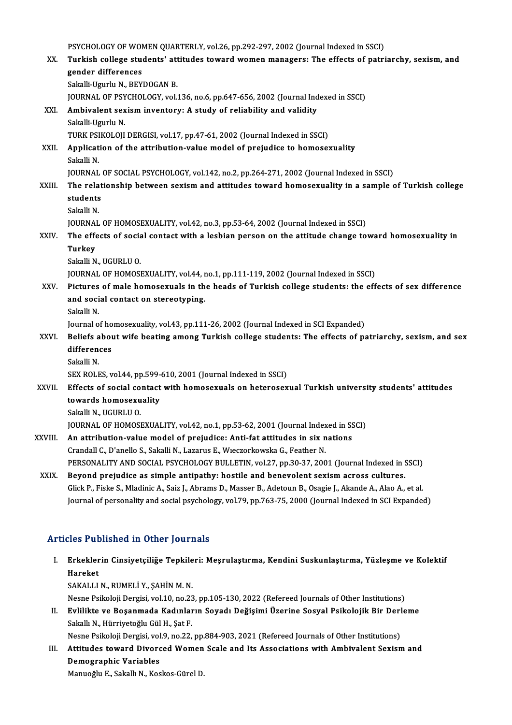PSYCHOLOGY OF WOMEN QUARTERLY, vol.26, pp.292-297, 2002 (Journal Indexed in SSCI)<br>Turkish collage students' ettitudes toward wemen managers: The effects of natri

|         | PSYCHOLOGY OF WOMEN QUARTERLY, vol.26, pp.292-297, 2002 (Journal Indexed in SSCI)                                 |
|---------|-------------------------------------------------------------------------------------------------------------------|
| XX.     | Turkish college students' attitudes toward women managers: The effects of patriarchy, sexism, and                 |
|         | gender differences                                                                                                |
|         | Sakalli-Ugurlu N., BEYDOGAN B.                                                                                    |
|         | JOURNAL OF PSYCHOLOGY, vol.136, no.6, pp.647-656, 2002 (Journal Indexed in SSCI)                                  |
| XXI.    | Ambivalent sexism inventory: A study of reliability and validity                                                  |
|         | Sakalli-Ugurlu N.                                                                                                 |
|         | TURK PSIKOLOJI DERGISI, vol.17, pp.47-61, 2002 (Journal Indexed in SSCI)                                          |
| XXII.   | Application of the attribution-value model of prejudice to homosexuality                                          |
|         | Sakalli N                                                                                                         |
|         | JOURNAL OF SOCIAL PSYCHOLOGY, vol.142, no.2, pp.264-271, 2002 (Journal Indexed in SSCI)                           |
| XXIII.  | The relationship between sexism and attitudes toward homosexuality in a sample of Turkish college                 |
|         | students                                                                                                          |
|         | Sakalli N.                                                                                                        |
|         | JOURNAL OF HOMOSEXUALITY, vol.42, no.3, pp.53-64, 2002 (Journal Indexed in SSCI)                                  |
| XXIV.   | The effects of social contact with a lesbian person on the attitude change toward homosexuality in                |
|         | <b>Turkey</b>                                                                                                     |
|         | Sakalli N., UGURLU O.                                                                                             |
|         | JOURNAL OF HOMOSEXUALITY, vol.44, no.1, pp.111-119, 2002 (Journal Indexed in SSCI)                                |
| XXV.    | Pictures of male homosexuals in the heads of Turkish college students: the effects of sex difference              |
|         | and social contact on stereotyping.                                                                               |
|         | Sakalli N.                                                                                                        |
|         | Journal of homosexuality, vol.43, pp.111-26, 2002 (Journal Indexed in SCI Expanded)                               |
| XXVI.   | Beliefs about wife beating among Turkish college students: The effects of patriarchy, sexism, and sex             |
|         | differences                                                                                                       |
|         | Sakalli N.                                                                                                        |
|         | SEX ROLES, vol.44, pp.599-610, 2001 (Journal Indexed in SSCI)                                                     |
| XXVII.  | Effects of social contact with homosexuals on heterosexual Turkish university students' attitudes                 |
|         | towards homosexuality                                                                                             |
|         | Sakalli N., UGURLU O                                                                                              |
|         | JOURNAL OF HOMOSEXUALITY, vol.42, no.1, pp.53-62, 2001 (Journal Indexed in SSCI)                                  |
| XXVIII. | An attribution-value model of prejudice: Anti-fat attitudes in six nations                                        |
|         | Crandall C., D'anello S., Sakalli N., Lazarus E., Wieczorkowska G., Feather N.                                    |
|         | PERSONALITY AND SOCIAL PSYCHOLOGY BULLETIN, vol.27, pp.30-37, 2001 (Journal Indexed in SSCI)                      |
| XXIX.   | Beyond prejudice as simple antipathy: hostile and benevolent sexism across cultures.                              |
|         | Glick P., Fiske S., Mladinic A., Saiz J., Abrams D., Masser B., Adetoun B., Osagie J., Akande A., Alao A., et al. |
|         | Journal of personality and social psychology, vol.79, pp.763-75, 2000 (Journal Indexed in SCI Expanded)           |

#### Articles Published in Other Journals

rticles Published in Other Journals<br>I. Erkeklerin Cinsiyetçiliğe Tepkileri: Meşrulaştırma, Kendini Suskunlaştırma, Yüzleşme ve Kolektif<br>Hareket Hos I ut<br>Erkekler<br>Hareket<br>SAKALLI Hareket<br>SAKALLI N., RUMELİ Y., ŞAHİN M. N.

Nesne Psikoloji Dergisi, vol.10, no.23, pp.105-130, 2022 (Refereed Journals of Other Institutions) SAKALLI N., RUMELİ Y., ŞAHİN M. N.<br>Nesne Psikoloji Dergisi, vol.10, no.23, pp.105-130, 2022 (Refereed Journals of Other Institutions)<br>II. Evlilikte ve Boşanmada Kadınların Soyadı Değişimi Üzerine Sosyal Psikolojik Bir

Nesne Psikoloji Dergisi, vol.10, no.23<br>**Evlilikte ve Boşanmada Kadınlar**<br>Sakallı N., Hürriyetoğlu Gül H., Şat F.<br>Nesne Psikoloji Dergisi, vol.9, no.22 Evlilikte ve Boşanmada Kadınların Soyadı Değişimi Üzerine Sosyal Psikolojik Bir Derl<br>Sakallı N., Hürriyetoğlu Gül H., Şat F.<br>Nesne Psikoloji Dergisi, vol.9, no.22, pp.884-903, 2021 (Refereed Journals of Other Institutions)

Sakallı N., Hürriyetoğlu Gül H., Şat F.<br>Nesne Psikoloji Dergisi, vol.9, no.22, pp.884-903, 2021 (Refereed Journals of Other Institutions)<br>III. Attitudes toward Divorced Women Scale and Its Associations with Ambivalent Sexi Nesne Psikoloji Dergisi, vol.9, no.22, pp.884-903, 2021 (Refereed Journals of Other Institutions)<br>Attitudes toward Divorced Women Scale and Its Associations with Ambivalent Sexisn<br>Demographic Variables<br>Manuoğlu E., Sakallı Attitudes toward Divorced Women<br>Demographic Variables<br>Manuoğlu E., Sakallı N., Koskos-Gürel D.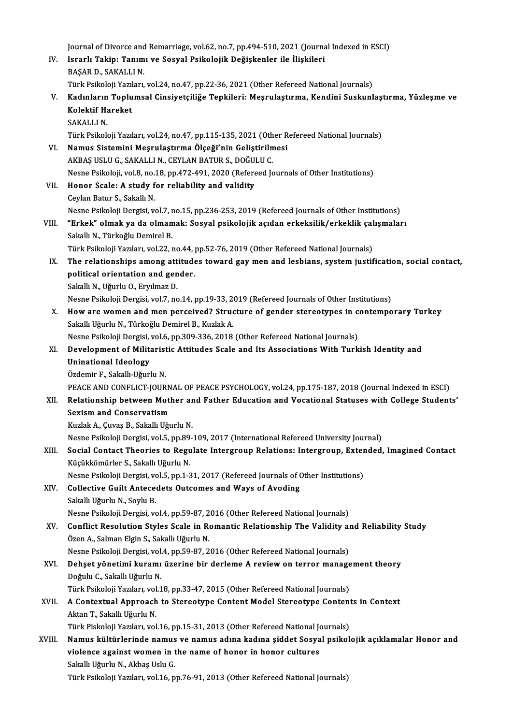Journal of Divorce and Remarriage, vol.62, no.7, pp.494-510, 2021 (Journal Indexed in ESCI)<br>Journal of Divorce and Remarriage, vol.62, no.7, pp.494-510, 2021 (Journal Indexed in ESCI) Journal of Divorce and Remarriage, vol.62, no.7, pp.494-510, 2021 (Journa<br>IV. Israrlı Takip: Tanımı ve Sosyal Psikolojik Değişkenler ile İlişkileri<br>RASAR D. SAKALLIN Journal of Divorce and<br>I<mark>srarlı Takip: Tanım</mark><br>BAŞAR D., SAKALLI N.<br>Türk Peikeleji Yemlan. Israrlı Takip: Tanımı ve Sosyal Psikolojik Değişkenler ile İlişkileri<br>BAŞAR D., SAKALLI N.<br>Türk Psikoloji Yazıları, vol.24, no.47, pp.22-36, 2021 (Other Refereed National Journals)<br>Kadınların Tanlumaal Gineiyateiliğe Tanki BAŞAR D., SAKALLI N.<br>Türk Psikoloji Yazıları, vol.24, no.47, pp.22-36, 2021 (Other Refereed National Journals)<br>V. Kadınların Toplumsal Cinsiyetçiliğe Tepkileri: Meşrulaştırma, Kendini Suskunlaştırma, Yüzleşme ve<br>Kelekt Türk Psikoloji Yazıl<br>Kadınların Toplu<br>Kolektif Hareket<br>SAKALLIN Kadınların<br>Kolektif Ha<br>SAKALLI N.<br>Türk Psikol Kolektif Hareket<br>SAKALLI N.<br>Türk Psikoloji Yazıları, vol.24, no.47, pp.115-135, 2021 (Other Refereed National Journals) SAKALLI N.<br>Türk Psikoloji Yazıları, vol.24, no.47, pp.115-135, 2021 (Other R<br>VI. Namus Sistemini Meşrulaştırma Ölçeği'nin Geliştirilmesi<br>AKRAS USLU G. SAKALLI N. CEVLAN RATUR S. DOĞULU G. Türk Psikoloji Yazıları, vol.24, no.47, pp.115-135, 2021 (Oth<br>Namus Sistemini Meşrulaştırma Ölçeği'nin Geliştirilm<br>AKBAŞ USLU G., SAKALLI N., CEYLAN BATUR S., DOĞULU C.<br>Nesne Psikoloji val 9 no.18, nn.473,491,2020 (Peferee Namus Sistemini Meşrulaştırma Ölçeği'nin Geliştirilmesi<br>AKBAŞ USLU G., SAKALLI N., CEYLAN BATUR S., DOĞULU C.<br>Nesne Psikoloji, vol.8, no.18, pp.472-491, 2020 (Refereed Journals of Other Institutions)<br>Hanar Saala: A study f AKBAŞ USLU G., SAKALLI N., CEYLAN BATUR S., DOĞULU C.<br>Nesne Psikoloji, vol.8, no.18, pp.472-491, 2020 (Refereed Jo<br>VII. Honor Scale: A study for reliability and validity<br>Ceylan Batur S., Sakallı N. Nesne Psikoloji, vol.8, no.<br>Honor Scale: A study f<br>Ceylan Batur S., Sakallı N.<br>Nesne Psikoloji Dergisi v Honor Scale: A study for reliability and validity<br>Ceylan Batur S., Sakallı N.<br>Nesne Psikoloji Dergisi, vol.7, no.15, pp.236-253, 2019 (Refereed Journals of Other Institutions)<br>"Erkek" elmek ve de elmemek: Sesvel psikolojik Ceylan Batur S., Sakallı N.<br>Nesne Psikoloji Dergisi, vol.7, no.15, pp.236-253, 2019 (Refereed Journals of Other Institutions)<br>VIII. "Erkek" olmak ya da olmamak: Sosyal psikolojik açıdan erkeksilik/erkeklik çalışmaları<br>Soka Nesne Psikoloji Dergisi, vol.7, r<br>**"Erkek" olmak ya da olman**<br>Sakallı N., Türkoğlu Demirel B.<br>Türk Psikoloji Varıları, vol.22, r "Erkek" olmak ya da olmamak: Sosyal psikolojik açıdan erkeksilik/erkeklik çal<br>Sakallı N., Türkoğlu Demirel B.<br>Türk Psikoloji Yazıları, vol.22, no.44, pp.52-76, 2019 (Other Refereed National Journals)<br>The relationshine amen Sakallı N., Türkoğlu Demirel B.<br>Türk Psikoloji Yazıları, vol.22, no.44, pp.52-76, 2019 (Other Refereed National Journals)<br>IX. The relationships among attitudes toward gay men and lesbians, system justification, social Türk Psikoloji Yazıları, vol.22, no.44, <sub>]</sub><br>The relationships among attitude<br>political orientation and gender.<br>Sekall: N. Hävrk: O. Ervlmag D. The relationships among att<br>political orientation and gen<br>Sakallı N., Uğurlu O., Eryılmaz D.<br>Neane Bailteleii Dengisi vel 7 ne political orientation and gender.<br>Sakallı N., Uğurlu O., Eryılmaz D.<br>Nesne Psikoloji Dergisi, vol.7, no.14, pp.19-33, 2019 (Refereed Journals of Other Institutions) X. How are women and men perceived? Structure of gender stereotypes in contemporary Turkey Sakallı Uğurlu N., Türkoğlu Demirel B., Kuzlak A. How are women and men perceived? Structure of gender stereotypes in c<br>Sakallı Uğurlu N., Türkoğlu Demirel B., Kuzlak A.<br>Nesne Psikoloji Dergisi, vol.6, pp.309-336, 2018 (Other Refereed National Journals)<br>Development of Mil Sakallı Uğurlu N., Türkoğlu Demirel B., Kuzlak A.<br>Nesne Psikoloji Dergisi, vol.6, pp.309-336, 2018 (Other Refereed National Journals)<br>XI. Development of Militaristic Attitudes Scale and Its Associations With Turkish Id Nesne Psikoloji Dergisi,<br>Development of Milita<br>Uninational Ideology<br>Ördemir E. Sekallı Uğurl Development of Militarist<br>Uninational Ideology<br>Özdemir F., Sakallı-Uğurlu N.<br>PEACE AND CONELICT IOUP Uninational Ideology<br>Özdemir F., Sakallı-Uğurlu N.<br>PEACE AND CONFLICT-JOURNAL OF PEACE PSYCHOLOGY, vol.24, pp.175-187, 2018 (Journal Indexed in ESCI) Özdemir F., Sakallı-Uğurlu N.<br>PEACE AND CONFLICT-JOURNAL OF PEACE PSYCHOLOGY, vol.24, pp.175-187, 2018 (Journal Indexed in ESCI)<br>XII. Relationship between Mother and Father Education and Vocational Statuses with Colleg PEACE AND CONFLICT-JOURN<br>Relationship between Motl<br>Sexism and Conservatism<br>Kurlak A. Guros B. Sakall Užv Relationship between Mother ar<br>Sexism and Conservatism<br>Kuzlak A., Çuvaş B., Sakallı Uğurlu N.<br>Nesne Psikaleji Dergisi vel 5-np 90 Sexism and Conservatism<br>Kuzlak A., Çuvaş B., Sakallı Uğurlu N.<br>Nesne Psikoloji Dergisi, vol.5, pp.89-109, 2017 (International Refereed University Journal)<br>Segial Contact Theories to Regulate Intergraup Belationa: Intergrau Kuzlak A., Çuvaş B., Sakallı Uğurlu N.<br>Nesne Psikoloji Dergisi, vol.5, pp.89-109, 2017 (International Refereed University Journal)<br>XIII. Social Contact Theories to Regulate Intergroup Relations: Intergroup, Extended, I Nesne Psikoloji Dergisi, vol.5, pp.89<br>Social Contact Theories to Regu<br>Küçükkömürler S., Sakallı Uğurlu N.<br>Nesne Psikoloji Dergisi vol 5, pp.1-3 Social Contact Theories to Regulate Intergroup Relations: Intergroup, Exter<br>Küçükkömürler S., Sakallı Uğurlu N.<br>Nesne Psikoloji Dergisi, vol.5, pp.1-31, 2017 (Refereed Journals of Other Institutions)<br>Collective Cuilt Antes Küçükkömürler S., Sakallı Uğurlu N.<br>Nesne Psikoloji Dergisi, vol.5, pp.1-31, 2017 (Refereed Journals of CXIV.<br>Collective Guilt Antecedets Outcomes and Ways of Avoding<br>Sakallı Uğurlu N., Soylu B. Nesne Psikoloji Dergisi, vol.5, pp.1-31, 2017 (Refereed Journals of Other Institutions) Collective Guilt Antecedets Outcomes and Ways of Avoding<br>Sakallı Uğurlu N., Soylu B.<br>Nesne Psikoloji Dergisi, vol.4, pp.59-87, 2016 (Other Refereed National Journals)<br>Conflict Beselution Styles Scale in Bomantis Belationsh XV. Conflict Resolution Styles Scale in Romantic Relationship The Validity and Reliability Study Nesne Psikoloji Dergisi, vol.4, pp.59-87, 2<br>Conflict Resolution Styles Scale in Re<br>Özen A., Salman Elgin S., Sakallı Uğurlu N.<br>Nesne Psikoloji Dergisi vol.4, np.50,97, 2 Conflict Resolution Styles Scale in Romantic Relationship The Validity an<br>Özen A., Salman Elgin S., Sakallı Uğurlu N.<br>Nesne Psikoloji Dergisi, vol.4, pp.59-87, 2016 (Other Refereed National Journals)<br>Debest vönetimi kuramı Özen A., Salman Elgin S., Sakallı Uğurlu N.<br>Nesne Psikoloji Dergisi, vol.4, pp.59-87, 2016 (Other Refereed National Journals)<br>XVI. Dehşet yönetimi kuramı üzerine bir derleme A review on terror management theory<br>Değulu G. S Nesne Psikoloji Dergisi, vol.<br><mark>Dehşet yönetimi kuramı</mark><br>Doğulu C., Sakallı Uğurlu N.<br>Türk Beikoloji Yemlam yol 1 Dehşet yönetimi kuramı üzerine bir derleme A review on terror manage<br>Doğulu C., Sakallı Uğurlu N.<br>Türk Psikoloji Yazıları, vol.18, pp.33-47, 2015 (Other Refereed National Journals)<br>A Contextual Annusesh te Steneetune Conte Doğulu C., Sakallı Uğurlu N.<br>Türk Psikoloji Yazıları, vol.18, pp.33-47, 2015 (Other Refereed National Journals)<br>XVII. A Contextual Approach to Stereotype Content Model Stereotype Contents in Context<br>Alter T. Sekallı Uğ Türk Psikoloji Yazıları, vol.18, pp.33-47, 2015 (Other Refereed National Journals)<br>A Contextual Approach to Stereotype Content Model Stereotype Conten<br>Aktan T., Sakallı Uğurlu N.<br>Türk Piskoloji Yazıları, vol.16, pp.15-31, A Contextual Approach to Stereotype Content Model Stereotype Content<br>Aktan T., Sakallı Uğurlu N.<br>Türk Piskoloji Yazıları, vol.16, pp.15-31, 2013 (Other Refereed National Journals)<br>Namua kültürlerinde namua ve namua adına k Aktan T., Sakallı Uğurlu N.<br>Türk Piskoloji Yazıları, vol.16, pp.15-31, 2013 (Other Refereed National Journals)<br>XVIII. Namus kültürlerinde namus ve namus adına kadına şiddet Sosyal psikolojik açıklamalar Honor and<br>viele Türk Piskoloji Yazıları, vol.16, pp.15-31, 2013 (Other Refereed National Jonanus kültürlerinde namus ve namus adına kadına şiddet Sosya<br>violence against women in the name of honor in honor cultures<br>Sakallı Uğurlu N. Althas Namus kültürlerinde namus<br>violence against women in t<br>Sakallı Uğurlu N., Akbaş Uslu G.<br>Türk Beikeleji Yarıları vel 16 n violence against women in the name of honor in honor cultures<br>Sakallı Uğurlu N., Akbaş Uslu G.<br>Türk Psikoloji Yazıları, vol.16, pp.76-91, 2013 (Other Refereed National Journals)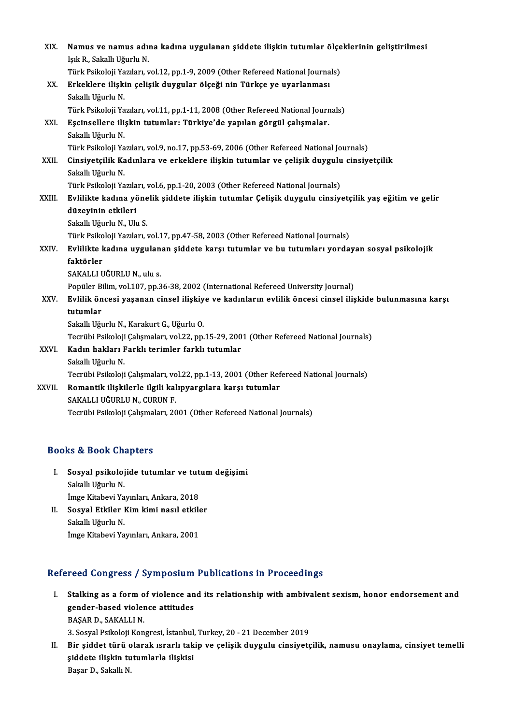| XIX.   | Namus ve namus adına kadına uygulanan şiddete ilişkin tutumlar ölçeklerinin geliştirilmesi            |
|--------|-------------------------------------------------------------------------------------------------------|
|        | Işık R., Sakallı Uğurlu N.                                                                            |
|        | Türk Psikoloji Yazıları, vol.12, pp.1-9, 2009 (Other Refereed National Journals)                      |
| XX.    | Erkeklere ilişkin çelişik duygular ölçeği nin Türkçe ye uyarlanması                                   |
|        | Sakallı Uğurlu N.                                                                                     |
|        | Türk Psikoloji Yazıları, vol.11, pp.1-11, 2008 (Other Refereed National Journals)                     |
| XXI.   | Eşcinsellere ilişkin tutumlar: Türkiye'de yapılan görgül çalışmalar.                                  |
|        | Sakallı Uğurlu N.                                                                                     |
|        | Türk Psikoloji Yazıları, vol.9, no.17, pp.53-69, 2006 (Other Refereed National Journals)              |
| XXII.  | Cinsiyetçilik Kadınlara ve erkeklere ilişkin tutumlar ve çelişik duygulu cinsiyetçilik                |
|        | Sakallı Uğurlu N.                                                                                     |
|        | Türk Psikoloji Yazıları, vol.6, pp.1-20, 2003 (Other Refereed National Journals)                      |
| XXIII. | Evlilikte kadına yönelik şiddete ilişkin tutumlar Çelişik duygulu cinsiyetçilik yaş eğitim ve gelir   |
|        | düzeyinin etkileri                                                                                    |
|        | Sakallı Uğurlu N., Ulu S.                                                                             |
|        | Türk Psikoloji Yazıları, vol.17, pp.47-58, 2003 (Other Refereed National Journals)                    |
| XXIV.  | Evlilikte kadına uygulanan şiddete karşı tutumlar ve bu tutumları yordayan sosyal psikolojik          |
|        | faktörler                                                                                             |
|        | SAKALLI UĞURLU N., ulu s.                                                                             |
|        | Popüler Bilim, vol.107, pp.36-38, 2002 (International Refereed University Journal)                    |
| XXV.   | Evlilik öncesi yaşanan cinsel ilişkiye ve kadınların evlilik öncesi cinsel ilişkide bulunmasına karşı |
|        | tutumlar                                                                                              |
|        | Sakallı Uğurlu N., Karakurt G., Uğurlu O.                                                             |
|        | Tecrübi Psikoloji Çalışmaları, vol.22, pp.15-29, 2001 (Other Refereed National Journals)              |
| XXVI.  | Kadın hakları Farklı terimler farklı tutumlar                                                         |
|        | Sakallı Uğurlu N.                                                                                     |
|        | Tecrübi Psikoloji Çalışmaları, vol.22, pp.1-13, 2001 (Other Refereed National Journals)               |
| XXVII. | Romantik ilişkilerle ilgili kalıpyargılara karşı tutumlar                                             |
|        | SAKALLI UĞURLU N., CURUN F.                                                                           |
|        | Tecrübi Psikoloji Çalışmaları, 2001 (Other Refereed National Journals)                                |
|        |                                                                                                       |

## Books&Book Chapters

- ooks & Book Chapters<br>I. Sosyal psikolojide tutumlar ve tutum değişimi<br> Sokallı Uğurlu N sa & Book on:<br>Sosyal psikoloj<br>Sakallı Uğurlu N.<br>İmge Kitabevi Ya Sosyal psikolojide tutumlar ve tut<br>Sakallı Uğurlu N.<br>İmge Kitabevi Yayınları, Ankara, 2018<br>Sosyal Etkiler Kim kimi nasıl etkile Sakallı Uğurlu N.<br>İmge Kitabevi Yayınları, Ankara, 2018<br>II. Sosyal Etkiler Kim kimi nasıl etkiler<br>Sakallı Uğurlu N. İmge Kitabevi Yayınları, Ankara, 2018
- İmge Kitabevi Yayınları, Ankara, 2001

## Refereed Congress / Symposium Publications in Proceedings

- efereed Congress / Symposium Publications in Proceedings<br>I. Stalking as a form of violence and its relationship with ambivalent sexism, honor endorsement and<br>conder based violence attitudes Stalking as a form of violence and<br>gender-based violence attitudes Stalking as a form o<br>gender-based violer<br>BAŞAR D., SAKALLI N.<br>2. Seavel Baikeleii Ken 19. gender-based violence attitudes<br>1985 BASAR D., SAKALLI N.<br>3. Sosyal Psikoloji Kongresi, İstanbul, Turkey, 20 - 21 December 2019 BAŞAR D., SAKALLI N.<br>3. Sosyal Psikoloji Kongresi, İstanbul, Turkey, 20 - 21 December 2019<br>II. Bir şiddet türü olarak ısrarlı takip ve çelişik duygulu cinsiyetçilik, namusu onaylama, cinsiyet temelli<br>1. siddete ili
- 3. Sosyal Psikoloji Kongresi, İstanbul,<br>Bir şiddet türü olarak ısrarlı tak<br>şiddete ilişkin tutumlarla ilişkisi<br>Pasar D. Sakallı N Bir şiddet türü c<br>şiddete ilişkin tu<br>Başar D., Sakallı N.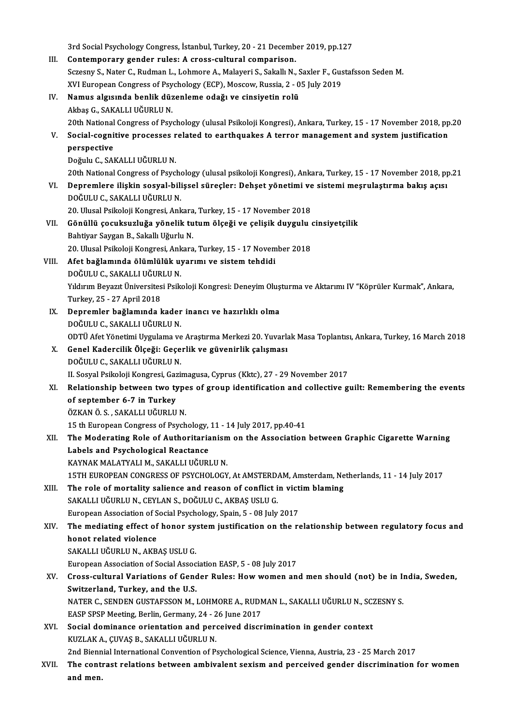3rd Social Psychology Congress, İstanbul, Turkey, 20 - 21 December 2019, pp.127<br>Contemporary gender rules: A eress sultural semperisor

- 3rd Social Psychology Congress, İstanbul, Turkey, 20 21 Decemb<br>III. Contemporary gender rules: A cross-cultural comparison.<br>Sereeny S. Nater C. Budman J. Johmana A. Malayari S. Sakallı N. 3rd Social Psychology Congress, İstanbul, Turkey, 20 - 21 December 2019, pp.127<br>Contemporary gender rules: A cross-cultural comparison.<br>Sczesny S., Nater C., Rudman L., Lohmore A., Malayeri S., Sakallı N., Saxler F., Gusta Contemporary gender rules: A cross-cultural comparison.<br>Sczesny S., Nater C., Rudman L., Lohmore A., Malayeri S., Sakallı N., Saxler F., Gus<br>XVI European Congress of Psychology (ECP), Moscow, Russia, 2 - 05 July 2019<br>Namua XVI European Congress of Psychology (ECP), Moscow, Russia, 2 - 05 July 2019
- IV. Namus algısında benlik düzenleme odağı ve cinsiyetin rolü Namus algısında benlik düzenleme odağı ve cinsiyetin rolü<br>Akbaş G., SAKALLI UĞURLU N.<br>20th National Congress of Psychology (ulusal Psikoloji Kongresi), Ankara, Turkey, 15 - 17 November 2018, pp.20<br>Social sognitive processe
- V. Social-cognitive processes related to earthquakes A terror management and system justification<br>perspective 20th National<br>Social-cogni<br>perspective<br>Doğulu G. SAl perspective<br>Doğulu C., SAKALLI UĞURLU N.<br>20th National Congress of Psychology (ulusal psikoloji Kongresi), Ankara, Turkey, 15 - 17 November 2018, pp.21<br>Denremlere iliskin sesual bilissel süresler: Debest vönetimi ve sistem

Doğulu C., SAKALLI UĞURLU N.

VI. Depremlere ilişkin sosyal-bilişsel süreçler: Dehşet yönetimi ve sistemimeşrulaştırma bakış açısı 20th National Congress of Psych<br>Depremlere ilişkin sosyal-bili<br>DOĞULU C., SAKALLI UĞURLU N.<br>20 Hlucel Beikeleii Kongresi, Anlı Depremlere ilişkin sosyal-bilişsel süreçler: Dehşet yönetimi ve<br>DOĞULU C., SAKALLI UĞURLU N.<br>20. Ulusal Psikoloji Kongresi, Ankara, Turkey, 15 - 17 November 2018<br>Gönüllü sosultayrıluğa yönelik tutum ölseği ve selisik duyay

- DOĞULU C., SAKALLI UĞURLU N.<br>20. Ulusal Psikoloji Kongresi, Ankara, Turkey, 15 17 November 2018<br>VII. Gönüllü çocuksuzluğa yönelik tutum ölçeği ve çelişik duygulu cinsiyetçilik<br>Rehtiver Savgan B. Sakallı Hğurlu N 20. Ulusal Psikoloji Kongresi, Ankara<br>Gönüllü çocuksuzluğa yönelik tu<br>Bahtiyar Saygan B., Sakallı Uğurlu N.<br>20. Ulusal Bsikoloji Kongresi, Ankara Gönüllü çocuksuzluğa yönelik tutum ölçeği ve çelişik duygulu (<br>Bahtiyar Saygan B., Sakallı Uğurlu N.<br>20. Ulusal Psikoloji Kongresi, Ankara, Turkey, 15 - 17 November 2018<br>Afet bağlamında ölümlülük uyanımı ve sistem tehdidi. 20. Ulusal Psikoloji Kongresi, Ankara, Turkey, 15 - 17 November 2018
- Bahtiyar Saygan B., Sakallı Uğurlu N.<br>20. Ulusal Psikoloji Kongresi, Ankara, Turkey, 15 17 Novem<br>VIII. Afet bağlamında ölümlülük uyarımı ve sistem tehdidi<br>DOĞULU C., SAKALLI UĞURLU N. Afet bağlamında ölümlülük uyarımı ve sistem tehdidi<br>DOĞULU C., SAKALLI UĞURLU N.<br>Yıldırım Beyazıt Üniversitesi Psikoloji Kongresi: Deneyim Oluşturma ve Aktarımı IV "Köprüler Kurmak", Ankara,

DOĞULU C., SAKALLI UĞUR<br>Yıldırım Beyazıt Üniversites<br>Turkey, 25 - 27 April 2018<br>Penremler, bağlamında l Yıldırım Beyazıt Üniversitesi Psikoloji Kongresi: Deneyim Oluş<br>Turkey, 25 - 27 April 2018<br>IX. Depremler bağlamında kader inancı ve hazırlıklı olma<br>DOĞU U.C. SAKALLUĞUPLU N

- Turkey, 25 27 April 2018<br>IX. Depremler bağlamında kader inancı ve hazırlıklı olma<br>DOĞULU C., SAKALLI UĞURLU N. ODTÜ Afet Yönetimi Uygulama ve Araştırma Merkezi 20. Yuvarlak Masa Toplantısı, Ankara, Turkey, 16 March 2018 DOĞULU C., SAKALLI UĞURLU N.<br>ODTÜ Afet Yönetimi Uygulama ve Araştırma Merkezi 20. Yuvarlı<br>X. Genel Kadercilik Ölçeği: Geçerlik ve güvenirlik çalışması<br>DOĞULU C. SAKALLI UĞUPLU N.
- ODTÜ Afet Yönetimi Uygulama ve<br>Genel Kadercilik Ölçeği: Geçe<br>DOĞULU C., SAKALLI UĞURLU N.<br>IL Sesvel Beikeleji Kongresi, Ceril DOĞULU C., SAKALLI UĞURLU N.<br>II. Sosyal Psikoloji Kongresi, Gazimagusa, Cyprus (Kktc), 27 - 29 November 2017
- DOĞULU C., SAKALLI UĞURLU N.<br>II. Sosyal Psikoloji Kongresi, Gazimagusa, Cyprus (Kktc), 27 29 November 2017<br>XI. Relationship between two types of group identification and collective guilt: Remembering the events<br>of sentem of september 6-7 in Turkey<br>ÖZKAN Ö.S., SAKALLI UĞURLU N. Relationship between two type<br>of september 6-7 in Turkey<br>ÖZKAN Ö. S. , SAKALLI UĞURLU N.<br>15 th Euroneen Congrees of Beych

15 th European Congress of Psychology, 11 - 14 July 2017, pp.40-41

XII. The Moderating Role of Authoritarianism on the Association between Graphic Cigarette Warning 15 th European Congress of Psychology,<br>The Moderating Role of Authoritaria<br>Labels and Psychological Reactance The Moderating Role of Authoritarianism<br>Labels and Psychological Reactance<br>KAYNAK MALATYALI M., SAKALLI UĞURLU N.<br>15TH EUROPEAN CONCRESS OF PSYCHOLOCY Labels and Psychological Reactance<br>KAYNAK MALATYALI M., SAKALLI UĞURLU N.<br>15TH EUROPEAN CONGRESS OF PSYCHOLOGY, At AMSTERDAM, Amsterdam, Netherlands, 11 - 14 July 2017<br>The role of mortality soliones and reason of sonflist

- KAYNAK MALATYALI M., SAKALLI UĞURLU N.<br>15TH EUROPEAN CONGRESS OF PSYCHOLOGY, At AMSTERDAM, Amsterdam, Ne<br>XIII. The role of mortality salience and reason of conflict in victim blaming<br>SAKALLI UĞURLU N. GEVLAN S. DOĞULU G. A 15TH EUROPEAN CONGRESS OF PSYCHOLOGY, At AMSTERD.<br>The role of mortality salience and reason of conflict i<br>SAKALLI UĞURLU N., CEYLAN S., DOĞULU C., AKBAŞ USLU G.<br>European Association of Social Beychology, Spain, 5., 09 July The role of mortality salience and reason of conflict in vict<br>SAKALLI UĞURLU N., CEYLAN S., DOĞULU C., AKBAŞ USLU G.<br>European Association of Social Psychology, Spain, 5 - 08 July 2017<br>The modiating offect of bener system i
	-
- SAKALLI UĞURLU N., CEYLAN S., DOĞULU C., AKBAŞ USLU G.<br>European Association of Social Psychology, Spain, 5 08 July 2017<br>XIV. The mediating effect of honor system justification on the relationship between regulatory f European Association of S<br>The mediating effect of<br>honot related violence<br>SAKALLUIČIPLUN AKP honot related violence<br>SAKALLI UĞURLU N., AKBAŞ USLU G.<br>European Association of Social Association EASP, 5 - 08 July 2017<br>Cross sultural Variations of Condar Pulası How woman an

SAKALLI UĞURLU N., AKBAŞ USLU G.

- SAKALLI UĞURLU N., AKBAŞ USLU G.<br>European Association of Social Association EASP, 5 08 July 2017<br>XV. Cross-cultural Variations of Gender Rules: How women and men should (not) be in India, Sweden,<br>Switzerland, Turkey, European Association of Social Assoc<br>Cross-cultural Variations of Geno<br>Switzerland, Turkey, and the U.S.<br>NATER C. SENDEN CUSTAESSON M Cross-cultural Variations of Gender Rules: How women and men should (not) be in In<br>Switzerland, Turkey, and the U.S.<br>NATER C., SENDEN GUSTAFSSON M., LOHMORE A., RUDMAN L., SAKALLI UĞURLU N., SCZESNY S.<br>FASP SPSP Meeting Be Switzerland, Turkey, and the U.S.<br>NATER C., SENDEN GUSTAFSSON M., LOHMORE A., RUDMAN L., SAKALLI UĞURLU N., SCZESNY S. EASP SPSP Meeting, Berlin, Germany, 24 - 26 June 2017
- XVI. Social dominance orientation and perceived discrimination in gender context

2nd Biennial International Convention of Psychological Science, Vienna, Austria, 23 - 25 March 2017

KUZLAK A., ÇUVAŞ B., SAKALLI UĞURLU N.<br>2nd Biennial International Convention of Psychological Science, Vienna, Austria, 23 - 25 March 2017<br>3NII. The contrast relations between ambivalent sexism and perceived gender dis 2nd Bienn<br><mark>The cont</mark><br>and men.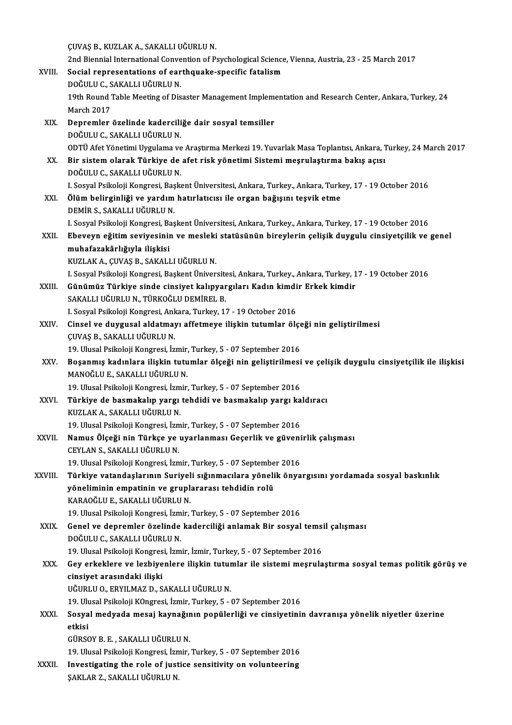ÇUVAŞB.,KUZLAKA.,SAKALLIUĞURLUN.

ÇUVAŞ B., KUZLAK A., SAKALLI UĞURLU N.<br>2nd Biennial International Convention of Psychological Science, Vienna, Austria, 23 - 25 March 2017<br>Sesial Pennesentations of sorth quals, anosifis fatalism CUVAŞ B., KUZLAK A., SAKALLI UĞURLU N.<br>2nd Biennial International Convention of Psychological Science<br>XVIII. Social representations of earthquake-specific fatalism 2nd Biennial International Conve<br>Social representations of ear<br>DOĞULU C., SAKALLI UĞURLU N.<br>10th Bound Table Meeting of Die Social representations of earthquake-specific fatalism<br>DOĞULU C., SAKALLI UĞURLU N.<br>19th Round Table Meeting of Disaster Management Implementation and Research Center, Ankara, Turkey, 24<br>March 2017 DOĞULU C., SAKALLI UĞURLU N. 19th Round Table Meeting of Disaster Management Implement<br>March 2017<br>XIX. Depremler özelinde kaderciliğe dair sosyal temsiller<br>DOČULU C SAKALLUIČUPLU N March 2017<br>Depremler özelinde kadercili<br>DOĞULU C., SAKALLI UĞURLU N.<br>ODTÜ Afet Vönetimi Hygulama ye Depremler özelinde kaderciliğe dair sosyal temsiller<br>DOĞULU C., SAKALLI UĞURLU N.<br>ODTÜ Afet Yönetimi Uygulama ve Araştırma Merkezi 19. Yuvarlak Masa Toplantısı, Ankara, Turkey, 24 March 2017<br>Bir sistem olarak Türkiye de af DOĞULU C., SAKALLI UĞURLU N.<br>ODTÜ Afet Yönetimi Uygulama ve Araştırma Merkezi 19. Yuvarlak Masa Toplantısı, Ankara, 1<br>XX. Bir sistem olarak Türkiye de afet risk yönetimi Sistemi meşrulaştırma bakış açısı<br>DOĞULU C., SAKALLI ODTÜ Afet Yönetimi Uygulama ve<br>Bir sistem olarak Türkiye de<br>DOĞULU C., SAKALLI UĞURLU N.<br>L Sosval Beikalaji Kongresi, Beak Bir sistem olarak Türkiye de afet risk yönetimi Sistemi meşrulaştırma bakış açısı<br>DOĞULU C., SAKALLI UĞURLU N.<br>I. Sosyal Psikoloji Kongresi, Başkent Üniversitesi, Ankara, Turkey., Ankara, Turkey, 17 - 19 October 2016<br>Ölüm DOĞULU C., SAKALLI UĞURLU N.<br>I. Sosyal Psikoloji Kongresi, Başkent Üniversitesi, Ankara, Turkey., Ankara, Turk<br>XXI. Ölüm belirginliği ve yardım hatırlatıcısı ile organ bağışını teşvik etme<br>DEMİR S. SAKALLI UĞURLU N Ölüm belirginliği ve yardım hatırlatıcısı ile organ bağışını teşvik etme<br>DEMİR S., SAKALLI UĞURLU N. Ölüm belirginliği ve yardım hatırlatıcısı ile organ bağışını teşvik etme<br>DEMİR S., SAKALLI UĞURLU N.<br>I. Sosyal Psikoloji Kongresi, Başkent Üniversitesi, Ankara, Turkey., Ankara, Turkey, 17 - 19 October 2016<br>Eheveyn eğitim DEMİR S., SAKALLI UĞURLU N.<br>1. Sosyal Psikoloji Kongresi, Başkent Üniversitesi, Ankara, Turkey., Ankara, Turkey, 17 - 19 October 2016<br>XXII. Ebeveyn eğitim seviyesinin ve mesleki statüsünün bireylerin çelişik duygulu ci I. Sosyal Psikoloji Kongresi, Ba<br><mark>Ebeveyn eğitim seviyesinir</mark><br>muhafazakârlığıyla ilişkisi<br>KUZLAK A GUVAS B. SAKALI Ebeveyn eğitim seviyesinin ve mesleki<br>muhafazakârlığıyla ilişkisi<br>KUZLAK A., ÇUVAŞ B., SAKALLI UĞURLU N.<br>L Sesval Peikalaji Kangresi, Baskant Üniyer <mark>muhafazakârlığıyla ilişkisi</mark><br>KUZLAK A., ÇUVAŞ B., SAKALLI UĞURLU N.<br>I. Sosyal Psikoloji Kongresi, Başkent Üniversitesi, Ankara, Turkey., Ankara, Turkey, 17 - 19 October 2016 KUZLAK A., ÇUVAŞ B., SAKALLI UĞURLU N.<br>1. Sosyal Psikoloji Kongresi, Başkent Üniversitesi, Ankara, Turkey., Ankara, Turkey, 1<br>XXIII. Günümüz Türkiye sinde cinsiyet kalıpyargıları Kadın kimdir Erkek kimdir<br>SAKALLUĞUPLU I. Sosyal Psikoloji Kongresi, Başkent Üniversite<br>Günümüz Türkiye sinde cinsiyet kalıpyar<br>SAKALLI UĞURLU N., TÜRKOĞLU DEMİREL B.<br>L Sosyal Beikoloji Kongresi, Ankara, Turkey, 17 Günümüz Türkiye sinde cinsiyet kalıpyargıları Kadın kimdi<br>SAKALLI UĞURLU N., TÜRKOĞLU DEMİREL B.<br>I. Sosyal Psikoloji Kongresi, Ankara, Turkey, 17 - 19 October 2016<br>Cinsel ve duvaysal aldatmayı affetmeye ilişkin tutumlar öl SAKALLI UĞURLU N., TÜRKOĞLU DEMİREL B.<br>I. Sosyal Psikoloji Kongresi, Ankara, Turkey, 17 - 19 October 2016<br>XXIV. Cinsel ve duygusal aldatmayı affetmeye ilişkin tutumlar ölçeği nin geliştirilmesi<br>CINAS B. SAKALLIJÖURLU N I. Sosyal Psikoloji Kongresi, Ank<br>Cinsel ve duygusal aldatmay<br>ÇUVAŞ B., SAKALLI UĞURLU N.<br>19. Ulusal Bsikoloji Kongresi, İz Cinsel ve duygusal aldatmayı affetmeye ilişkin tutumlar ölçe<br>ÇUVAŞ B., SAKALLI UĞURLU N.<br>19. Ulusal Psikoloji Kongresi, İzmir, Turkey, 5 - 07 September 2016<br>Bosanmış kadınlara ilişkin tutumlar ölçeği nin geliştirilmesi ÇUVAŞ B., SAKALLI UĞURLU N.<br>19. Ulusal Psikoloji Kongresi, İzmir, Turkey, 5 - 07 September 2016<br>XXV. Boşanmış kadınlara ilişkin tutumlar ölçeği nin geliştirilmesi ve çelişik duygulu cinsiyetçilik ile ilişkisi<br>MANOĞLU E 19. Ulusal Psikoloji Kongresi, İzmir,<br>Boşanmış kadınlara ilişkin tutu<br>MANOĞLU E., SAKALLI UĞURLU N.<br>19. Ulusal Balkaleji Kongresi, İzmir Boşanmış kadınlara ilişkin tutumlar ölçeği nin geliştirilmesi<br>MANOĞLU E., SAKALLI UĞURLU N.<br>19. Ulusal Psikoloji Kongresi, İzmir, Turkey, 5 - 07 September 2016<br>Türkiye de basmakalın yargı tehdidi ve basmakalın yargı ke XXVI. Türkiye de basmakalıp yargı tehdidi ve basmakalıp yargı kaldıracı 19. Ulusal Psikoloji Kongresi, İzm<br>**Türkiye de basmakalıp yargı**<br>KUZLAK A., SAKALLI UĞURLU N.<br>19. Ulusal Psikoloji Kongresi, İzm Türkiye de basmakalıp yargı tehdidi ve basmakalıp yargı ka<br>KUZLAK A., SAKALLI UĞURLU N.<br>19. Ulusal Psikoloji Kongresi, İzmir, Turkey, 5 - 07 September 2016<br>Namus Ölesği nin Türkeş ve uvarlanması Cosarlik ve güvani KUZLAK A., SAKALLI UĞURLU N.<br>19. Ulusal Psikoloji Kongresi, İzmir, Turkey, 5 - 07 September 2016<br>XXVII. Namus Ölçeği nin Türkçe ye uyarlanması Geçerlik ve güvenirlik çalışması<br>CEVLAN S. SAKALLUĞURLU N 19. Ulusal Psikoloji Kongresi, İzm<br>**Namus Ölçeği nin Türkçe ye**<br>CEYLAN S., SAKALLI UĞURLU N.<br>19. Ulusal Psikaleji Kongresi, İzm Namus Ölçeği nin Türkçe ye uyarlanması Geçerlik ve güveni<br>CEYLAN S., SAKALLI UĞURLU N.<br>19. Ulusal Psikoloji Kongresi, İzmir, Turkey, 5 - 07 September 2016<br>Türkiye yatardaslarının Suriyeli sığınmasılara yönelik önye CEYLAN S., SAKALLI UĞURLU N.<br>19. Ulusal Psikoloji Kongresi, İzmir, Turkey, 5 - 07 September 2016<br>XXVIII. Türkiye vatandaşlarının Suriyeli sığınmacılara yönelik önyargısını yordamada sosyal baskınlık<br>xöneliminin emnetin 19. Ulusal Psikoloji Kongresi, İzmir, Turkey, 5 - 07 Septembe<br>Türkiye vatandaşlarının Suriyeli sığınmacılara yöneli<br>yöneliminin empatinin ve gruplararası tehdidin rolü<br>KARAQĞULE, SAKALLUĞUPLU N Türkiye vatandaşlarının Suriyel<br>yöneliminin empatinin ve grupl:<br>KARAOĞLU E., SAKALLI UĞURLU N.<br>19 Ulucal Psikoloji Kongresi İsmir yöneliminin empatinin ve gruplararası tehdidin rolü<br>KARAOĞLU E., SAKALLI UĞURLU N.<br>19. Ulusal Psikoloji Kongresi, İzmir, Turkey, 5 - 07 September 2016<br>Canal ve danramlar özelinde kadarsiliği anlamak Bir sosyal KARAOĞLU E., SAKALLI UĞURLU N.<br>19. Ulusal Psikoloji Kongresi, İzmir, Turkey, 5 - 07 September 2016<br>XXIX. Genel ve depremler özelinde kaderciliği anlamak Bir sosyal temsil çalışması<br>DOĞULU C., SAKALLI UĞURLU N. 19. Ulusal Psikoloji Kongresi, İzm<br>Genel ve depremler özelinde<br>DOĞULU C., SAKALLI UĞURLU N.<br>19. Ulusal Bsikoloji Kongresi, İzm 6enel ve depremler özelinde kaderciliği anlamak Bir sosyal temsi<br>DOĞULU C., SAKALLI UĞURLU N.<br>19. Ulusal Psikoloji Kongresi, İzmir, İzmir, Turkey, 5 - 07 September 2016<br>Cev erkeklere ve lerbiyenlere ilişkin tutumlar ile si DOĞULU C., SAKALLI UĞURLU N.<br>19. Ulusal Psikoloji Kongresi, İzmir, İzmir, Turkey, 5 - 07 September 2016<br>XXX. Gey erkeklere ve lezbiyenlere ilişkin tutumlar ile sistemi meşrulaştırma sosyal temas politik görüş ve<br>ainsiy 19. Ulusal Psikoloji Kongres<br>Gey erkeklere ve lezbiye<br>cinsiyet arasındaki ilişki<br>Uğupi u.o. EPVU MAZ D. S Gey erkeklere ve lezbiyenlere ilişkin tutur<br>cinsiyet arasındaki ilişki<br>UĞURLU O., ERYILMAZ D., SAKALLI UĞURLU N.<br>19 Ulycel Belkeleji KOngresi İsmir Turkey E cinsiyet arasındaki ilişki<br>UĞURLU O., ERYILMAZ D., SAKALLI UĞURLU N.<br>19. Ulusal Psikoloji KOngresi, İzmir, Turkey, 5 - 07 September 2016<br>Sesyal medyada mesai kaynağının nanülarliği ve sinsiyatini UĞURLU O., ERYILMAZ D., SAKALLI UĞURLU N.<br>19. Ulusal Psikoloji KOngresi, İzmir, Turkey, 5 - 07 September 2016<br>XXXI. Sosyal medyada mesaj kaynağının popülerliği ve cinsiyetinin davranışa yönelik niyetler üzerine<br>Akkai 19. Ul<mark>l</mark><br>Sosya<br>etkisi Sosyal medyada mesaj kaynağır<br>etkisi<br>GÜRSOY B.E. , SAKALLI UĞURLU N.<br>10 Ulucal Psikalaji Kangyasi İsmir <mark>etkisi</mark><br>GÜRSOY B. E. , SAKALLI UĞURLU N.<br>19. Ulusal Psikoloji Kongresi, İzmir, Turkey, 5 - 07 September 2016 GÜRSOY B. E. , SAKALLI UĞURLU N.<br>19. Ulusal Psikoloji Kongresi, İzmir, Turkey, 5 - 07 September 2016<br>XXXII. Investigating the role of justice sensitivity on volunteering<br>SAKLAR Z. SAKALLIJÖURLU N. 19. Ulusal Psikoloji Kongresi, İzn<br>I<mark>nvestigating the role of just</mark><br>ŞAKLAR Z., SAKALLI UĞURLU N.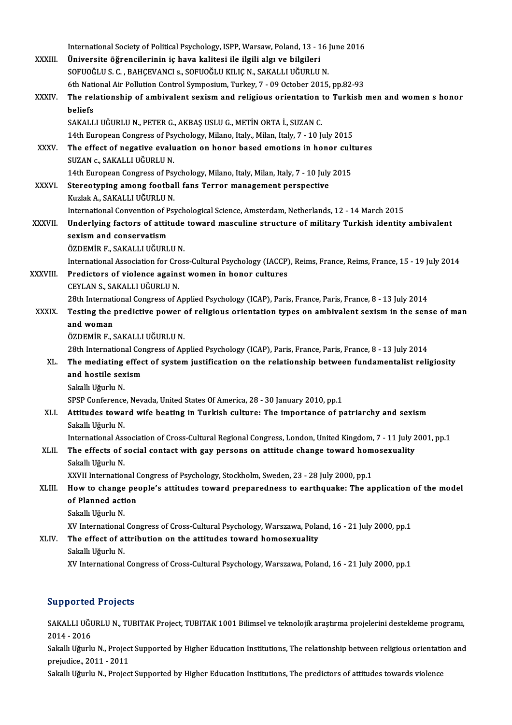|              | International Society of Political Psychology, ISPP, Warsaw, Poland, 13 - 16 June 2016                                                                                                                          |
|--------------|-----------------------------------------------------------------------------------------------------------------------------------------------------------------------------------------------------------------|
| XXXIII.      | Üniversite öğrencilerinin iç hava kalitesi ile ilgili algı ve bilgileri                                                                                                                                         |
|              | SOFUOĞLU S. C., BAHÇEVANCI s., SOFUOĞLU KILIÇ N., SAKALLI UĞURLU N.                                                                                                                                             |
|              | 6th National Air Pollution Control Symposium, Turkey, 7 - 09 October 2015, pp.82-93                                                                                                                             |
| XXXIV.       | The relationship of ambivalent sexism and religious orientation to Turkish men and women s honor                                                                                                                |
|              | beliefs                                                                                                                                                                                                         |
|              | SAKALLI UĞURLU N., PETER G., AKBAŞ USLU G., METİN ORTA İ., SUZAN C.                                                                                                                                             |
|              | 14th European Congress of Psychology, Milano, Italy., Milan, Italy, 7 - 10 July 2015                                                                                                                            |
| <b>XXXV</b>  | The effect of negative evaluation on honor based emotions in honor cultures                                                                                                                                     |
|              | SUZAN c., SAKALLI UĞURLU N.                                                                                                                                                                                     |
|              | 14th European Congress of Psychology, Milano, Italy, Milan, Italy, 7 - 10 July 2015                                                                                                                             |
| <b>XXXVI</b> | Stereotyping among football fans Terror management perspective                                                                                                                                                  |
|              | Kuzlak A., SAKALLI UĞURLU N.                                                                                                                                                                                    |
|              | International Convention of Psychological Science, Amsterdam, Netherlands, 12 - 14 March 2015                                                                                                                   |
| XXXVII.      | Underlying factors of attitude toward masculine structure of military Turkish identity ambivalent                                                                                                               |
|              | sexism and conservatism                                                                                                                                                                                         |
|              | ÖZDEMİR F., SAKALLI UĞURLU N.                                                                                                                                                                                   |
|              | International Association for Cross-Cultural Psychology (IACCP), Reims, France, Reims, France, 15 - 19 July 2014                                                                                                |
| XXXVIII.     | Predictors of violence against women in honor cultures                                                                                                                                                          |
|              | CEYLAN S., SAKALLI UĞURLU N.                                                                                                                                                                                    |
|              | 28th International Congress of Applied Psychology (ICAP), Paris, France, Paris, France, 8 - 13 July 2014                                                                                                        |
| <b>XXXIX</b> | Testing the predictive power of religious orientation types on ambivalent sexism in the sense of man                                                                                                            |
|              | and woman                                                                                                                                                                                                       |
|              | ÖZDEMİR F., SAKALLI UĞURLU N.                                                                                                                                                                                   |
| XL.          | 28th International Congress of Applied Psychology (ICAP), Paris, France, Paris, France, 8 - 13 July 2014<br>The mediating effect of system justification on the relationship between fundamentalist religiosity |
|              | and hostile sexism                                                                                                                                                                                              |
|              | Sakallı Uğurlu N.                                                                                                                                                                                               |
|              | SPSP Conference, Nevada, United States Of America, 28 - 30 January 2010, pp.1                                                                                                                                   |
| XLI.         | Attitudes toward wife beating in Turkish culture: The importance of patriarchy and sexism                                                                                                                       |
|              | Sakallı Uğurlu N.                                                                                                                                                                                               |
|              | International Association of Cross-Cultural Regional Congress, London, United Kingdom, 7 - 11 July 2001, pp.1                                                                                                   |
| XLII.        | The effects of social contact with gay persons on attitude change toward homosexuality                                                                                                                          |
|              | Sakallı Uğurlu N.                                                                                                                                                                                               |
|              | XXVII International Congress of Psychology, Stockholm, Sweden, 23 - 28 July 2000, pp.1                                                                                                                          |
| XLIII.       | How to change people's attitudes toward preparedness to earthquake: The application of the model                                                                                                                |
|              | of Planned action                                                                                                                                                                                               |
|              | Sakallı Uğurlu N.                                                                                                                                                                                               |
|              | XV International Congress of Cross-Cultural Psychology, Warszawa, Poland, 16 - 21 July 2000, pp.1                                                                                                               |
| XLIV.        | The effect of attribution on the attitudes toward homosexuality                                                                                                                                                 |
|              | Sakallı Uğurlu N.                                                                                                                                                                                               |
|              | XV International Congress of Cross-Cultural Psychology, Warszawa, Poland, 16 - 21 July 2000, pp.1                                                                                                               |
|              |                                                                                                                                                                                                                 |

## Supported Projects

Supported Projects<br>SAKALLI UĞURLU N., TUBITAK Project, TUBITAK 1001 Bilimsel ve teknolojik araştırma projelerini destekleme programı,<br>2014 - 2016 5apported<br>SAKALLI UĞU<br>2014 - 2016<br>Sakallı Uğurlı SAKALLI UĞURLU N., TUBITAK Project, TUBITAK 1001 Bilimsel ve teknolojik araştırma projelerini destekleme programı,<br>2014 - 2016<br>Sakallı Uğurlu N., Project Supported by Higher Education Institutions, The relationship between

2014 - 2016<br>Sakallı Uğurlu N., Projec<br>prejudice., 2011 - 2011<br>Sakallı Uğurlu N., Projec Sakallı Uğurlu N., Project Supported by Higher Education Institutions, The relationship between religious orientati<br>prejudice., 2011 - 2011<br>Sakallı Uğurlu N., Project Supported by Higher Education Institutions, The predict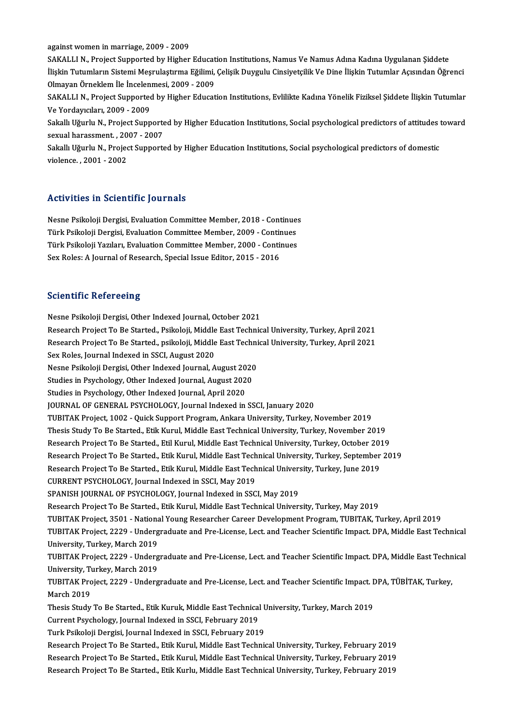against women in marriage, 2009 - 2009

SAKALLIN., Project Supported by Higher Education Institutions, Namus Ve Namus Adına Kadına Uygulanan Şiddete İlişkin Tutumların Sistemi Meşrulaştırma Eğilimi, Çelişik Duygulu Cinsiyetçilik Ve Dine İlişkin Tutumlar Açısından Öğrenci SAKALLI N., Project Supported by Higher Educat<br>İlişkin Tutumların Sistemi Meşrulaştırma Eğilimi,<br>Olmayan Örneklem İle İncelenmesi, 2009 - 2009<br>SAKALLI N., Project Supported by Higher Educat İlişkin Tutumların Sistemi Meşrulaştırma Eğilimi, Çelişik Duygulu Cinsiyetçilik Ve Dine İlişkin Tutumlar Açısından Öğrenci<br>Olmayan Örneklem İle İncelenmesi, 2009 - 2009<br>SAKALLI N., Project Supported by Higher Education Ins

Olmayan Örneklem İle İncelen<br>SAKALLI N., Project Supportec<br>Ve Yordayıcıları, 2009 - 2009<br>Sakallı Hğurlu N., Project Supp SAKALLI N., Project Supported by Higher Education Institutions, Evlilikte Kadına Yönelik Fiziksel Şiddete İlişkin Tutumlar<br>Ve Yordayıcıları, 2009 - 2009<br>Sakallı Uğurlu N., Project Supported by Higher Education Institutions

Ve Yordayıcıları, 2009 - 2009<br>Sakallı Uğurlu N., Project Supporte<br>sexual harassment. , 2007 - 2007<br>Sakallı Hğurlu N., Project Supports Sakallı Uğurlu N., Project Supported by Higher Education Institutions, Social psychological predictors of attitudes<br>sexual harassment. , 2007 - 2007<br>Sakallı Uğurlu N., Project Supported by Higher Education Institutions, So

sexual harassment. , 2007 - 2007<br>Sakallı Uğurlu N., Project Supported by Higher Education Institutions, Social psychological predictors of domestic<br>violence. , 2001 - 2002

#### Activities in Scientific Journals

Nesne Psikoloji Dergisi, Evaluation Committee Member, 2018 - Continues Türk Psikoloji Dergisi, Evaluation Committee Member, 2009 - Continues Türk Psikoloji Yazıları, Evaluation Committee Member, 2000 - Continues Sex Roles: A Journal of Research, Special Issue Editor, 2015 - 2016

#### **Scientific Refereeing**

Nesne Psikoloji Dergisi, Other Indexed Journal, October 2021 Berentining Kerentogram<br>Resne Psikoloji Dergisi, Other Indexed Journal, October 2021<br>Research Project To Be Started., Psikoloji, Middle East Technical University, Turkey, April 2021<br>Research Project To Be Started., psikolo Nesne Psikoloji Dergisi, Other Indexed Journal, October 2021<br>Research Project To Be Started., Psikoloji, Middle East Technical University, Turkey, April 2021<br>Research Project To Be Started., psikoloji, Middle East Technica Research Project To Be Started., Psikoloji, Middle<br>Research Project To Be Started., psikoloji, Middle<br>Sex Roles, Journal Indexed in SSCI, August 2020<br>Nesne Psikoloji Dergisi, Other Indexed Journal, A Research Project To Be Started., psikoloji, Middle East Technical University, Turkey, April 2021<br>Sex Roles, Journal Indexed in SSCI, August 2020<br>Nesne Psikoloji Dergisi, Other Indexed Journal, August 2020 Sex Roles, Journal Indexed in SSCI, August 2020<br>Nesne Psikoloji Dergisi, Other Indexed Journal, August 2020<br>Studies in Psychology, Other Indexed Journal, August 2020<br>Studies in Psychology, Other Indexed Journal, Angust 202 Nesne Psikoloji Dergisi, Other Indexed Journal, August 20<br>Studies in Psychology, Other Indexed Journal, August 202<br>Studies in Psychology, Other Indexed Journal, April 2020<br>JOUPNAL OF CENERAL PSYCHOLOGY, Journal Indexed in Studies in Psychology, Other Indexed Journal, April 2020<br>JOURNAL OF GENERAL PSYCHOLOGY, Journal Indexed in SSCI, January 2020 Studies in Psychology, Other Indexed Journal, April 2020<br>JOURNAL OF GENERAL PSYCHOLOGY, Journal Indexed in SSCI, January 2020<br>TUBITAK Project, 1002 - Quick Support Program, Ankara University, Turkey, November 2019<br>Thesis S JOURNAL OF GENERAL PSYCHOLOGY, Journal Indexed in SSCI, January 2020<br>TUBITAK Project, 1002 - Quick Support Program, Ankara University, Turkey, November 2019<br>Thesis Study To Be Started., Etik Kurul, Middle East Technical Un TUBITAK Project, 1002 - Quick Support Program, Ankara University, Turkey, November 2019<br>Thesis Study To Be Started., Etik Kurul, Middle East Technical University, Turkey, November 2019<br>Research Project To Be Started., Etil Thesis Study To Be Started., Etik Kurul, Middle East Technical University, Turkey, November 2019<br>Research Project To Be Started., Etil Kurul, Middle East Technical University, Turkey, October 2019<br>Research Project To Be St Research Project To Be Started., Etil Kurul, Middle East Technical University, Turkey, October 201<br>Research Project To Be Started., Etik Kurul, Middle East Technical University, Turkey, September<br>Research Project To Be Sta Research Project To Be Started., Etik Kurul, Middle East Tech<br>Research Project To Be Started., Etik Kurul, Middle East Tech<br>CURRENT PSYCHOLOGY, Journal Indexed in SSCI, May 2019<br>SPANISH JOURNAL OF PSYCHOLOGY, Journal Index Research Project To Be Started., Etik Kurul, Middle East Technical University, Turkey, June 2019<br>CURRENT PSYCHOLOGY, Journal Indexed in SSCI, May 2019<br>SPANISH JOURNAL OF PSYCHOLOGY, Journal Indexed in SSCI, May 2019 Research Project To Be Started., Etik Kurul, Middle East Technical University, Turkey, May 2019 TUBITAK Project, 3501 - National Young Researcher Career Development Program, TUBITAK, Turkey, April 2019 Research Project To Be Started., Etik Kurul, Middle East Technical University, Turkey, May 2019<br>TUBITAK Project, 3501 - National Young Researcher Career Development Program, TUBITAK, Turkey, April 2019<br>TUBITAK Project, 222 TUBITAK Project, 3501 - Nationa<br>TUBITAK Project, 2229 - Underg<br>University, Turkey, March 2019<br>TUBITAK Project, 2229 - Underg TUBITAK Project, 2229 - Undergraduate and Pre-License, Lect. and Teacher Scientific Impact. DPA, Middle East Technical<br>University, Turkey, March 2019<br>TUBITAK Project, 2229 - Undergraduate and Pre-License, Lect. and Teacher University, Turkey, March 2019<br>TUBITAK Project, 2229 - Underg<br>University, Turkey, March 2019<br>TUBITAK Project, 2229 - Underg TUBITAK Project, 2229 - Undergraduate and Pre-License, Lect. and Teacher Scientific Impact. DPA, Middle East Techn<br>University, Turkey, March 2019<br>TUBITAK Project, 2229 - Undergraduate and Pre-License, Lect. and Teacher Sci University, Turkey, March 2019<br>TUBITAK Project, 2229 - Undergraduate and Pre-License, Lect. and Teacher Scientific Impact. DPA, TÜBİTAK, Turkey,<br>March 2019 TUBITAK Project, 2229 - Undergraduate and Pre-License, Lect. and Teacher Scientific Impact. <mark>I</mark><br>March 2019<br>Thesis Study To Be Started., Etik Kuruk, Middle East Technical University, Turkey, March 2019<br>Current Baychology, J March 2019<br>Thesis Study To Be Started., Etik Kuruk, Middle East Technical<br>Current Psychology, Journal Indexed in SSCI, February 2019<br>Turk Psikoloji Dergisi, Journal Indexed in SSCI, February 2019 Thesis Study To Be Started., Etik Kuruk, Middle East Technical L<br>Current Psychology, Journal Indexed in SSCI, February 2019<br>Turk Psikoloji Dergisi, Journal Indexed in SSCI, February 2019<br>Pessansk Prejast To Be Started, Eti Current Psychology, Journal Indexed in SSCI, February 2019<br>Turk Psikoloji Dergisi, Journal Indexed in SSCI, February 2019<br>Research Project To Be Started., Etik Kurul, Middle East Technical University, Turkey, February 2019 Turk Psikoloji Dergisi, Journal Indexed in SSCI, February 2019<br>Research Project To Be Started., Etik Kurul, Middle East Technical University, Turkey, February 2019<br>Research Project To Be Started., Etik Kurul, Middle East T Research Project To Be Started., Etik Kurul, Middle East Technical University, Turkey, February 2019<br>Research Project To Be Started., Etik Kurul, Middle East Technical University, Turkey, February 2019<br>Research Project To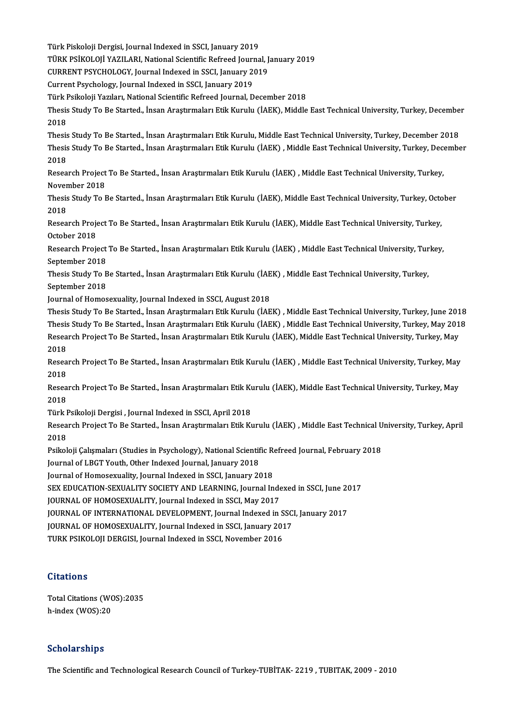Türk Piskoloji Dergisi, Journal Indexed in SSCI, January 2019<br>Türk Piskoloji Dergisi, Journal Indexed in SSCI, January 2019<br>Türk PSİKOLOJİ YAZU APL National Scientific Refreed Journa

Türk Piskoloji Dergisi, Journal Indexed in SSCI, January 2019<br>TÜRK PSİKOLOJİ YAZILARI, National Scientific Refreed Journal, January 2019<br>CURREN'I RSYCHOLOCY, Jaurnal Indexed in SSCI, January 2010

Türk Piskoloji Dergisi, Journal Indexed in SSCI, January 2019<br>TÜRK PSİKOLOJİ YAZILARI, National Scientific Refreed Journal, J<br>CURRENT PSYCHOLOGY, Journal Indexed in SSCI, January 2019<br>Current Beychology, Journal Indexed in

TÜRK PSİKOLOJİ YAZILARI, National Scientific Refreed Journ<br>CURRENT PSYCHOLOGY, Journal Indexed in SSCI, January 20<br>Current Psychology, Journal Indexed in SSCI, January 2019<br>Türk Beikoleji Yazıları, National Scientific Befr

CURRENT PSYCHOLOGY, Journal Indexed in SSCI, January 2019<br>Current Psychology, Journal Indexed in SSCI, January 2019<br>Türk Psikoloji Yazıları, National Scientific Refreed Journal, December 2018<br>Thesis Study To Be Started, İn

Current Psychology, Journal Indexed in SSCI, January 2019<br>Türk Psikoloji Yazıları, National Scientific Refreed Journal, December 2018<br>Thesis Study To Be Started., İnsan Araştırmaları Etik Kurulu (İAEK), Middle East Technic Türk I<br>Thesis<br>2018<br>Thesis Thesis Study To Be Started., İnsan Araştırmaları Etik Kurulu (İAEK), Middle East Technical University, Turkey, Decembe<br>2018<br>Thesis Study To Be Started., İnsan Araştırmaları Etik Kurulu, Middle East Technical University, Tu

2018<br>Thesis Study To Be Started., İnsan Araştırmaları Etik Kurulu, Middle East Technical University, Turkey, December 2018<br>Thesis Study To Be Started., İnsan Araştırmaları Etik Kurulu (İAEK) , Middle East Technical Univers Thesis<br>Thesis<br>2018<br>Pesee

Thesis Study To Be Started., İnsan Araştırmaları Etik Kurulu (İAEK) , Middle East Technical University, Turkey, Dec<br>2018<br>Research Project To Be Started., İnsan Araştırmaları Etik Kurulu (İAEK) , Middle East Technical Unive 2018<br>Research Project To Be Started., İnsan Araştırmaları Etik Kurulu (İAEK) , Middle East Technical University, Turkey,<br>November 2018 Research Project To Be Started., İnsan Araştırmaları Etik Kurulu (İAEK) , Middle East Technical University, Turkey,<br>November 2018<br>Thesis Study To Be Started., İnsan Araştırmaları Etik Kurulu (İAEK), Middle East Technical U

Nover<br>Thesis<br>2018<br>Peses Thesis Study To Be Started., İnsan Araştırmaları Etik Kurulu (İAEK), Middle East Technical University, Turkey, Octo<br>2018<br>Research Project To Be Started., İnsan Araştırmaları Etik Kurulu (İAEK), Middle East Technical Univer

2018<br>Research Project To Be Started., İnsan Araştırmaları Etik Kurulu (İAEK), Middle East Technical University, Turkey,<br>October 2018 Research Project To Be Started., İnsan Araştırmaları Etik Kurulu (İAEK), Middle East Technical University, Turkey,<br>October 2018<br>Research Project To Be Started., İnsan Araştırmaları Etik Kurulu (İAEK) , Middle East Technica

October 2018<br>Research Project<br>September 2018<br>Thesis Study To B Research Project To Be Started., İnsan Araştırmaları Etik Kurulu (İAEK) , Middle East Technical University, Tur<br>September 2018<br>Thesis Study To Be Started., İnsan Araştırmaları Etik Kurulu (İAEK) , Middle East Technical Uni

September 2018<br>Thesis Study To B<br>September 2018<br>Journal of Homes Thesis Study To Be Started., İnsan Araştırmaları Etik Kurulu (İAE<br>September 2018<br>Journal of Homosexuality, Journal Indexed in SSCI, August 2018<br>Thesis Study To Be Started, İnsan Arastırmaları Etik Kurulu (İAE September 2018<br>Journal of Homosexuality, Journal Indexed in SSCI, August 2018<br>Thesis Study To Be Started., İnsan Araştırmaları Etik Kurulu (İAEK) , Middle East Technical University, Turkey, June 2018

Journal of Homosexuality, Journal Indexed in SSCI, August 2018<br>Thesis Study To Be Started., İnsan Araştırmaları Etik Kurulu (İAEK) , Middle East Technical University, Turkey, June 2018<br>Thesis Study To Be Started., İnsan Ar Thesis Study To Be Started., İnsan Araştırmaları Etik Kurulu (İAEK) , Middle East Technical University, Turkey, June 201<br>Thesis Study To Be Started., İnsan Araştırmaları Etik Kurulu (İAEK) , Middle East Technical Universit Thesis<br>Resea<br>2018<br>Besea Research Project To Be Started., İnsan Araştırmaları Etik Kurulu (İAEK), Middle East Technical University, Turkey, May<br>2018<br>Research Project To Be Started., İnsan Araştırmaları Etik Kurulu (İAEK) , Middle East Technical Un

2018<br>Resea<br>2018<br>Pesea Research Project To Be Started., İnsan Araştırmaları Etik Kurulu (İAEK) , Middle East Technical University, Turkey, May<br>2018<br>Research Project To Be Started., İnsan Araştırmaları Etik Kurulu (İAEK), Middle East Technical Un

2018<br>Resea<br>2018<br>Türk I Research Project To Be Started., İnsan Araştırmaları Etik Ku<br>2018<br>Türk Psikoloji Dergisi , Journal Indexed in SSCI, April 2018<br>Besearsh Breject To Be Started, İnsan Arastırmaları Etik Kı

Türk Psikoloji Dergisi, Journal Indexed in SSCI, April 2018

2018<br>Türk Psikoloji Dergisi , Journal Indexed in SSCI, April 2018<br>Research Project To Be Started., İnsan Araştırmaları Etik Kurulu (İAEK) , Middle East Technical University, Turkey, April<br>2018 Research Project To Be Started., İnsan Araştırmaları Etik Kurulu (İAEK) , Middle East Technical U<br>2018<br>Psikoloji Çalışmaları (Studies in Psychology), National Scientific Refreed Journal, February 2018<br>Journal of LBCT Youth

2018<br>Psikoloji Çalışmaları (Studies in Psychology), National Scientif<br>Journal of LBGT Youth, Other Indexed Journal, January 2018<br>Journal of Homosovuality, Journal Indoved in SSCL Jonuary 20 Psikoloji Çalışmaları (Studies in Psychology), National Scientific Republika<br>Journal of LBGT Youth, Other Indexed Journal, January 2018<br>Journal of Homosexuality, Journal Indexed in SSCI, January 2018<br>SEX EDUCATION SEXUALIT

Journal of LBGT Youth, Other Indexed Journal, January 2018<br>Journal of Homosexuality, Journal Indexed in SSCI, January 2018<br>SEX EDUCATION-SEXUALITY SOCIETY AND LEARNING, Journal Indexed in SSCI, June 2017<br>JOURNAL OF HOMOSEX Journal of Homosexuality, Journal Indexed in SSCI, January 2018<br>SEX EDUCATION-SEXUALITY SOCIETY AND LEARNING, Journal Inde<br>JOURNAL OF HOMOSEXUALITY, Journal Indexed in SSCI, May 2017<br>JOURNAL OF INTERNATIONAL DEVELOPMENT, J SEX EDUCATION-SEXUALITY SOCIETY AND LEARNING, Journal Indexed in SSCI, June 20<br>JOURNAL OF HOMOSEXUALITY, Journal Indexed in SSCI, May 2017<br>JOURNAL OF INTERNATIONAL DEVELOPMENT, Journal Indexed in SSCI, January 2017<br>JOURNAL

JOURNAL OF HOMOSEXUALITY, Journal Indexed in SSCI, May 2017<br>JOURNAL OF INTERNATIONAL DEVELOPMENT, Journal Indexed in SSC<br>JOURNAL OF HOMOSEXUALITY, Journal Indexed in SSCI, January 2017<br>TURK PSIKOLOU DERCISL Journal Indexed JOURNAL OF INTERNATIONAL DEVELOPMENT, Journal Indexed in S<br>JOURNAL OF HOMOSEXUALITY, Journal Indexed in SSCI, January 201<br>TURK PSIKOLOJI DERGISI, Journal Indexed in SSCI, November 2016

TURK PSIKOLOJI DERGISI, Journal Indexed in SSCI, November 2016<br>Citations

Citations<br>Total Citations (WOS):2035<br>h index (WOS):20 dications<br>Total Citations (WO<br>h-index (WOS):20

# h-index (WOS):20<br>Scholarships

The Scientific and Technological Research Council of Turkey-TUBİTAK-2219, TUBITAK, 2009 - 2010